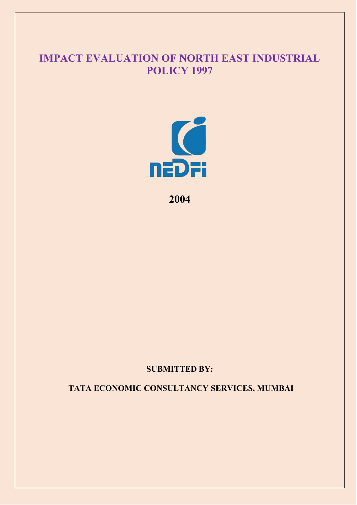# **IMPACT EVALUATION OF NORTH EAST INDUSTRIAL POLICY 1997**



**2004**

## **SUBMITTED BY:**

**TATA ECONOMIC CONSULTANCY SERVICES, MUMBAI**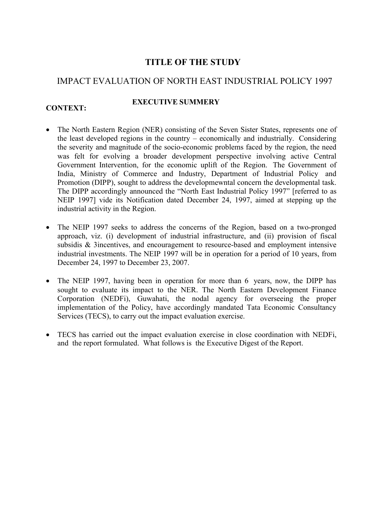## **TITLE OF THE STUDY**

## IMPACT EVALUATION OF NORTH EAST INDUSTRIAL POLICY 1997

## **CONTEXT:**

## **EXECUTIVE SUMMERY**

- The North Eastern Region (NER) consisting of the Seven Sister States, represents one of the least developed regions in the country – economically and industrially. Considering the severity and magnitude of the socio-economic problems faced by the region, the need was felt for evolving a broader development perspective involving active Central Government Intervention, for the economic uplift of the Region. The Government of India, Ministry of Commerce and Industry, Department of Industrial Policy and Promotion (DIPP), sought to address the developmewntal concern the developmental task. The DIPP accordingly announced the "North East Industrial Policy 1997" [referred to as NEIP 1997] vide its Notification dated December 24, 1997, aimed at stepping up the industrial activity in the Region.
- The NEIP 1997 seeks to address the concerns of the Region, based on a two-pronged approach, viz. (i) development of industrial infrastructure, and (ii) provision of fiscal subsidis & 3incentives, and encouragement to resource-based and employment intensive industrial investments. The NEIP 1997 will be in operation for a period of 10 years, from December 24, 1997 to December 23, 2007.
- The NEIP 1997, having been in operation for more than 6 years, now, the DIPP has sought to evaluate its impact to the NER. The North Eastern Development Finance Corporation (NEDFi), Guwahati, the nodal agency for overseeing the proper implementation of the Policy, have accordingly mandated Tata Economic Consultancy Services (TECS), to carry out the impact evaluation exercise.
- TECS has carried out the impact evaluation exercise in close coordination with NEDFi, and the report formulated. What follows is the Executive Digest of the Report.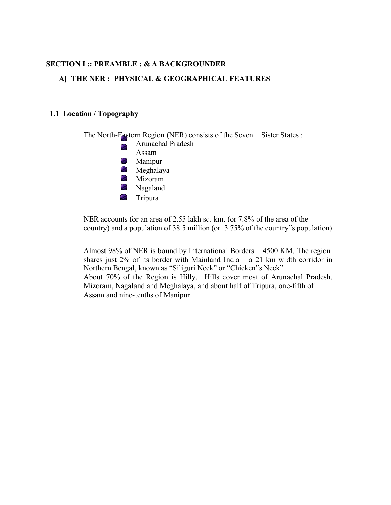### **SECTION I :: PREAMBLE : & A BACKGROUNDER**

#### **A] THE NER : PHYSICAL & GEOGRAPHICAL FEATURES**

#### **1.1 Location / Topography**



NER accounts for an area of 2.55 lakh sq. km. (or 7.8% of the area of the country) and a population of 38.5 million (or 3.75% of the country"s population)

Almost 98% of NER is bound by International Borders – 4500 KM. The region shares just  $2\%$  of its border with Mainland India – a 21 km width corridor in Northern Bengal, known as "Siliguri Neck" or "Chicken"s Neck" About 70% of the Region is Hilly. Hills cover most of Arunachal Pradesh, Mizoram, Nagaland and Meghalaya, and about half of Tripura, one-fifth of Assam and nine-tenths of Manipur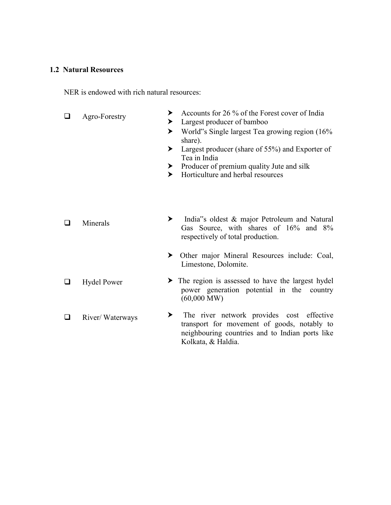#### **1.2 Natural Resources**

NER is endowed with rich natural resources:

- $\Box$  Agro-Forestry  $\rightarrow$  Accounts for 26 % of the Forest cover of India > Largest producer of bamboo ▶ World"s Single largest Tea growing region (16% share). ▶ Largest producer (share of 55%) and Exporter of Tea in India ▶ Producer of premium quality Jute and silk > Horticulture and herbal resources
- $\Box$  Minerals  $\rightarrow$ India"s oldest & major Petroleum and Natural Gas Source, with shares of 16% and 8% respectively of total production.
	- ⮞ Other major Mineral Resources include: Coal, Limestone, Dolomite.
- $\Box$  Hydel Power > The region is assessed to have the largest hydel power generation potential in the country (60,000 MW)
- $\Box$  River/ Waterways > The river network provides cost effective transport for movement of goods, notably to neighbouring countries and to Indian ports like Kolkata, & Haldia.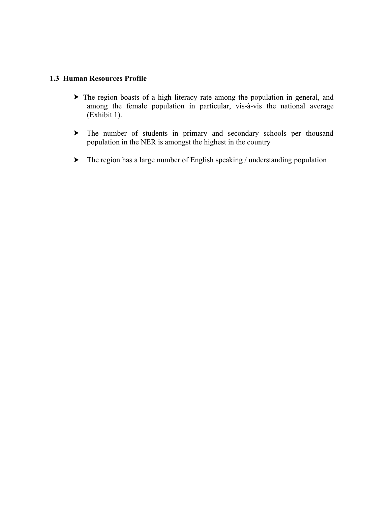## **1.3 Human Resources Profile**

- > The region boasts of a high literacy rate among the population in general, and among the female population in particular, vis-à-vis the national average (Exhibit 1).
- > The number of students in primary and secondary schools per thousand population in the NER is amongst the highest in the country
- ⮞ The region has a large number of English speaking / understanding population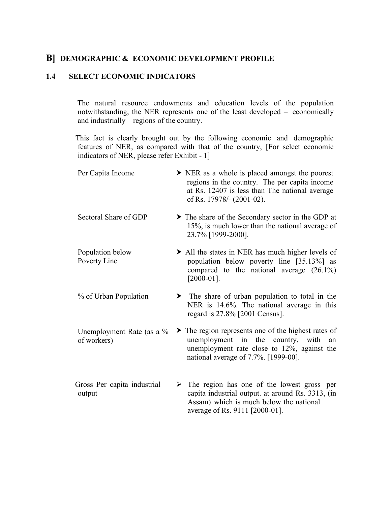## **B] DEMOGRAPHIC & ECONOMIC DEVELOPMENT PROFILE**

#### **1.4 SELECT ECONOMIC INDICATORS**

The natural resource endowments and education levels of the population notwithstanding, the NER represents one of the least developed – economically and industrially – regions of the country.

This fact is clearly brought out by the following economic and demographic features of NER, as compared with that of the country, [For select economic indicators of NER, please refer Exhibit -  $1$ ]

| Per Capita Income                        | $\triangleright$ NER as a whole is placed amongst the poorest<br>regions in the country. The per capita income<br>at Rs. 12407 is less than The national average<br>of Rs. 17978/- (2001-02).                 |
|------------------------------------------|---------------------------------------------------------------------------------------------------------------------------------------------------------------------------------------------------------------|
| Sectoral Share of GDP                    | The share of the Secondary sector in the GDP at<br>15%, is much lower than the national average of<br>23.7% [1999-2000].                                                                                      |
| Population below<br>Poverty Line         | $\triangleright$ All the states in NER has much higher levels of<br>population below poverty line [35.13%] as<br>compared to the national average $(26.1\%)$<br>$[2000-01]$ .                                 |
| % of Urban Population                    | > The share of urban population to total in the<br>NER is 14.6%. The national average in this<br>regard is $27.8\%$ [2001 Census].                                                                            |
| Unemployment Rate (as a %<br>of workers) | $\blacktriangleright$ The region represents one of the highest rates of<br>unemployment in the country, with<br>an<br>unemployment rate close to $12\%$ , against the<br>national average of 7.7%. [1999-00]. |
| Gross Per capita industrial<br>output    | $\triangleright$ The region has one of the lowest gross per<br>capita industrial output. at around Rs. 3313, (in<br>Assam) which is much below the national<br>average of Rs. 9111 [2000-01].                 |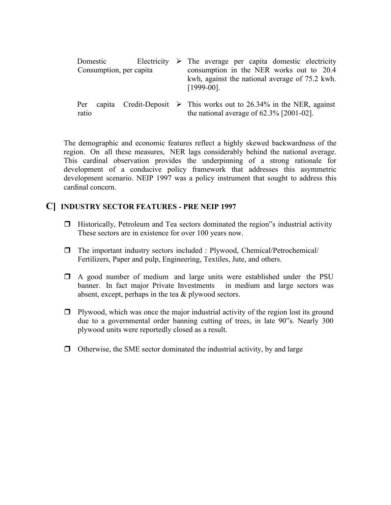|              | Domestic | Consumption, per capita | Electricity $\triangleright$ The average per capita domestic electricity<br>consumption in the NER works out to 20.4<br>kwh, against the national average of 75.2 kwh.<br>$[1999-00]$ . |
|--------------|----------|-------------------------|-----------------------------------------------------------------------------------------------------------------------------------------------------------------------------------------|
| Per<br>ratio |          |                         | capita Credit-Deposit $\triangleright$ This works out to 26.34% in the NER, against<br>the national average of $62.3\%$ [2001-02].                                                      |

The demographic and economic features reflect a highly skewed backwardness of the region. On all these measures, NER lags considerably behind the national average. This cardinal observation provides the underpinning of a strong rationale for development of a conducive policy framework that addresses this asymmetric development scenario. NEIP 1997 was a policy instrument that sought to address this cardinal concern.

## **C] INDUSTRY SECTOR FEATURES - PRE NEIP 1997**

- $\Box$  Historically, Petroleum and Tea sectors dominated the region  $\degree$ s industrial activity These sectors are in existence for over 100 years now.
- $\Box$  The important industry sectors included : Plywood, Chemical/Petrochemical/ Fertilizers, Paper and pulp, Engineering, Textiles, Jute, and others.
- $\Box$  A good number of medium and large units were established under the PSU banner. In fact major Private Investments in medium and large sectors was absent, except, perhaps in the tea & plywood sectors.
- $\Box$  Plywood, which was once the major industrial activity of the region lost its ground due to a governmental order banning cutting of trees, in late 90"s. Nearly 300 plywood units were reportedly closed as a result.
- $\Box$  Otherwise, the SME sector dominated the industrial activity, by and large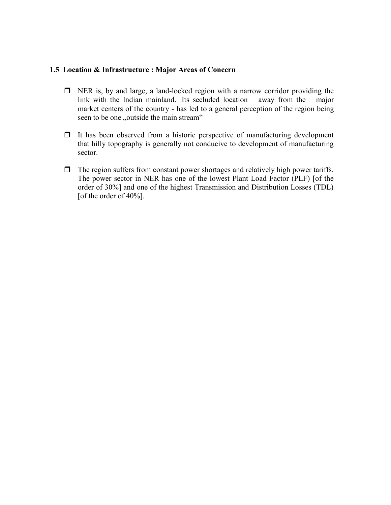### **1.5 Location & Infrastructure : Major Areas ofConcern**

- NER is, by and large, a land-locked region with a narrow corridor providing the link with the Indian mainland. Its secluded location – away from the major market centers of the country - has led to a general perception of the region being seen to be one "outside the main stream"
- $\Box$  It has been observed from a historic perspective of manufacturing development that hilly topography is generally not conducive to development of manufacturing sector.
- $\Box$  The region suffers from constant power shortages and relatively high power tariffs. The power sector in NER has one of the lowest Plant Load Factor (PLF) [of the order of 30%] and one of the highest Transmission and Distribution Losses (TDL) [of the order of 40%].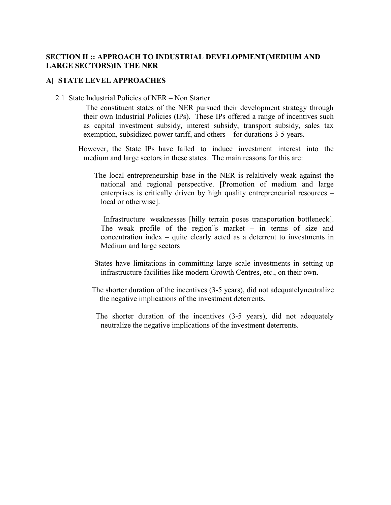## **SECTION II :: APPROACH TO INDUSTRIAL DEVELOPMENT(MEDIUM AND LARGE SECTORS)IN THE NER**

### **A] STATE LEVEL APPROACHES**

2.1 State Industrial Policies of NER – Non Starter

The constituent states of the NER pursued their development strategy through their own Industrial Policies (IPs). These IPs offered a range of incentives such as capital investment subsidy, interest subsidy, transport subsidy, sales tax exemption, subsidized power tariff, and others – for durations 3-5 years.

- However, the State IPs have failed to induce investment interest into the medium and large sectors in these states. The main reasons for this are:
	- The local entrepreneurship base in the NER is relaltively weak against the national and regional perspective. [Promotion of medium and large enterprises is critically driven by high quality entrepreneurial resources – local or otherwise].

Infrastructure weaknesses [hilly terrain poses transportation bottleneck]. The weak profile of the region"s market – in terms of size and concentration index – quite clearly acted as a deterrent to investments in Medium and large sectors

- States have limitations in committing large scale investments in setting up infrastructure facilities like modern Growth Centres, etc., on their own.
- The shorter duration of the incentives (3-5 years), did not adequatelyneutralize the negative implications of the investment deterrents.
	- The shorter duration of the incentives (3-5 years), did not adequately neutralize the negative implications of the investment deterrents.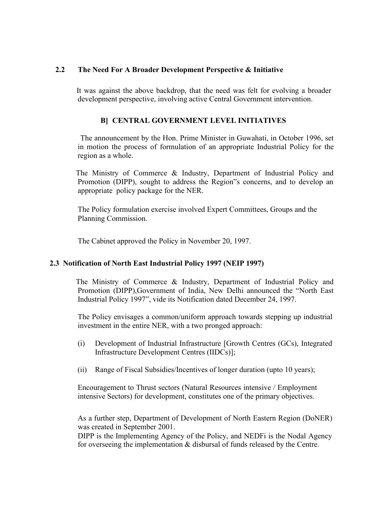### **2.2 The Need For A Broader Development Perspective & Initiative**

It was against the above backdrop, that the need was felt for evolving a broader development perspective, involving active Central Government intervention.

## **B] CENTRAL GOVERNMENT LEVEL INITIATIVES**

The announcement by the Hon. Prime Minister in Guwahati, in October 1996, set in motion the process of formulation of an appropriate Industrial Policy for the region as a whole.<br>The Ministry of Commerce & Industry, Department of Industrial Policy and

Promotion (DIPP), sought to address the Region"s concerns, and to develop an appropriate policy package for the NER.

The Policy formulation exercise involved Expert Committees, Groups and the Planning Commission.

The Cabinet approved the Policy in November 20, 1997.

### **2.3 Notification of North East Industrial Policy 1997 (NEIP 1997)**

The Ministry of Commerce  $\&$  Industry, Department of Industrial Policy and Promotion (DIPP),Government of India, New Delhi announced the "North East Industrial Policy 1997", vide its Notification dated December 24,1997.

The Policy envisages a common/uniform approach towards stepping up industrial investment in the entire NER, with a two pronged approach:

- (i) Development of Industrial Infrastructure [Growth Centres (GCs), Integrated Infrastructure Development Centres (IIDCs)];
- (ii) Range of Fiscal Subsidies/Incentives of longer duration (upto 10 years);

Encouragement to Thrust sectors (Natural Resources intensive / Employment intensive Sectors) for development, constitutes one of the primary objectives.

As a further step, Department of Development of North Eastern Region (DoNER) was created in September 2001.

DIPP is the Implementing Agency of the Policy, and NEDFi is the Nodal Agency for overseeing the implementation  $&$  disbursal of funds released by the Centre.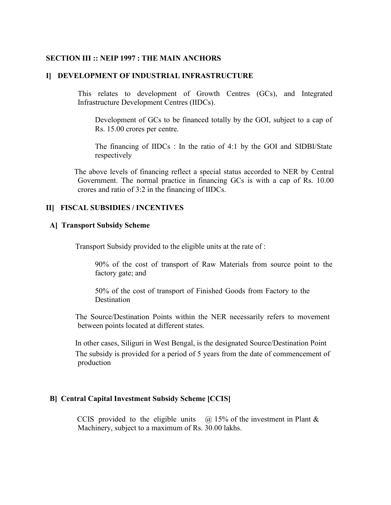#### **SECTION III :: NEIP 1997 : THE MAIN ANCHORS**

#### **I] DEVELOPMENT OF INDUSTRIAL INFRASTRUCTURE**

This relates to development of Growth Centres (GCs), and Integrated Infrastructure Development Centres (IIDCs).

Development of GCs to be financed totally by the GOI, subject to a cap of Rs. 15.00 crores per centre.

The financing of IIDCs : In the ratio of 4:1 by the GOI and SIDBI/State respectively

The above levels of financing reflect a special status accorded to NER by Central Government. The normal practice in financing GCs is with a cap of Rs. 10.00 crores and ratio of 3:2 in the financing of IIDCs.

#### **II] FISCAL SUBSIDIES / INCENTIVES**

#### **A] Transport Subsidy Scheme**

Transport Subsidy provided to the eligible units at the rate of :

90% of the cost of transport of Raw Materials from source point to the factory gate; and

50% of the cost of transport of Finished Goods from Factory to the **Destination** 

The Source/Destination Points within the NER necessarily refers to movement between points located at different states.

In other cases, Siliguri in West Bengal, is the designated Source/Destination Point The subsidy is provided for a period of 5 years from the date of commencement of production

#### **B] Central Capital Investment Subsidy Scheme [CCIS]**

CCIS provided to the eligible units  $\omega$  15% of the investment in Plant & Machinery, subject to a maximum of Rs.30.00 lakhs.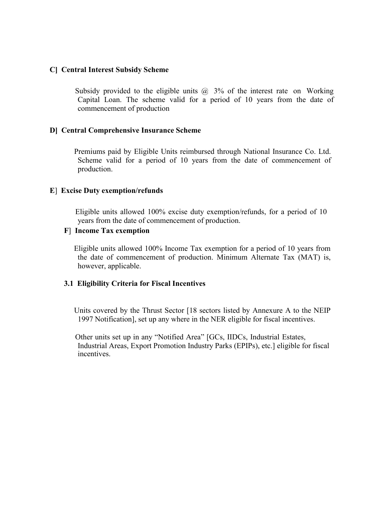#### **C] Central Interest Subsidy Scheme**

Subsidy provided to the eligible units  $\omega$  3% of the interest rate on Working Capital Loan. The scheme valid for a period of 10 years from the date of commencement of production

#### **D] Central Comprehensive Insurance Scheme**

Premiums paid by Eligible Units reimbursed through National Insurance Co. Ltd.<br>Scheme valid for a period of 10 years from the date of commencement of production.

#### **E**] **Excise Duty exemption/refunds**

Eligible units allowed 100% excise duty exemption/refunds, for a period of 10 years from the date of commencement of production.

#### **F**] **Income Tax exemption**

Eligible units allowed 100% Income Tax exemption for a period of 10 years from the date of commencement of production. Minimum Alternate Tax (MAT) is, however, applicable.

### **3.1 Eligibility Criteria for FiscalIncentives**

Units covered by the Thrust Sector [18 sectors listed by Annexure A to the NEIP 1997 Notification], set up any where in the NER eligible for fiscal incentives.

Other units set up in any "Notified Area" [GCs, IIDCs, Industrial Estates, Industrial Areas, Export Promotion Industry Parks (EPIPs), etc.] eligible for fiscal incentives.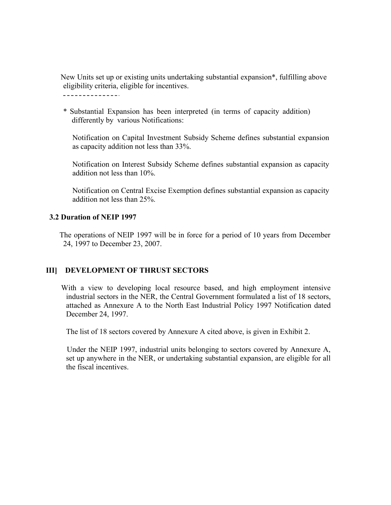New Units set up or existing units undertaking substantial expansion\*, fulfilling above eligibility criteria, eligible for incentives.

\_\_\_\_\_\_\_\_\_\_\_\_\_\_.

\* Substantial Expansion has been interpreted (in terms of capacity addition) differently by various Notifications:

Notification on Capital Investment Subsidy Scheme defines substantial expansion as capacity addition not less than 33%.

Notification on Interest Subsidy Scheme defines substantial expansion as capacity addition not less than 10%.

Notification on Central Excise Exemption defines substantial expansion as capacity addition not less than 25%.

### **3.2 Duration of NEIP 1997**

The operations of NEIP 1997 will be in force for a period of 10 years from December 24, 1997 to December 23,2007.

## **III] DEVELOPMENT OF THRUST SECTORS**

With a view to developing local resource based, and high employment intensive industrial sectors in the NER, the Central Government formulated a list of 18 sectors, attached as Annexure A to the North East Industrial Policy 1997 Notification dated December 24, 1997.

The list of 18 sectors covered by Annexure A cited above, is given in Exhibit 2.

Under the NEIP 1997, industrial units belonging to sectors covered by Annexure A, set up anywhere in the NER, or undertaking substantial expansion, are eligible for all the fiscal incentives.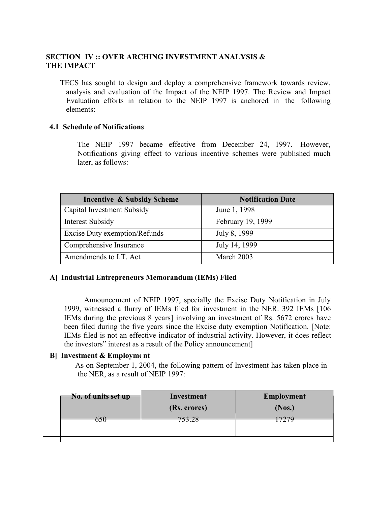## **SECTION IV :: OVER ARCHING INVESTMENT ANALYSIS & THE IMPACT**

TECS has sought to design and deploy a comprehensive framework towards review, analysis and evaluation of the Impact of the NEIP 1997. The Review and Impact Evaluation efforts in relation to the NEIP 1997 is anchored in the following elements:

## **4.1 Schedule of Notifications**

The NEIP 1997 became effective from December 24, 1997. However, Notifications giving effect to various incentive schemes were published much later, as follows:

| <b>Incentive &amp; Subsidy Scheme</b> | <b>Notification Date</b> |
|---------------------------------------|--------------------------|
| Capital Investment Subsidy            | June 1, 1998             |
| Interest Subsidy                      | February 19, 1999        |
| Excise Duty exemption/Refunds         | July 8, 1999             |
| Comprehensive Insurance               | July 14, 1999            |
| Amendmends to I.T. Act                | March 2003               |

### **A] Industrial Entrepreneurs Memorandum (IEMs) Filed**

Announcement of NEIP 1997, specially the Excise Duty Notification in July 1999, witnessed a flurry of IEMs filed for investment in the NER. 392 IEMs [106 IEMs during the previous 8 years] involving an investment of Rs. 5672 crores have been filed during the five years since the Excise duty exemption Notification. [Note: IEMs filed is not an effective indicator of industrial activity. However, it does reflect the investors" interest as a result of the Policy announcement]

### **B] Investment & Employment**

As on September 1, 2004, the following pattern of Investment has taken place in the NER, as a result of NEIP 1997:

| No. of units set up | Investment     | <b>Employment</b> |
|---------------------|----------------|-------------------|
|                     | (Rs. crores)   | (Nos.)            |
| <del>550</del>      | 75200<br>77.Z0 | 7270<br>121       |
|                     |                |                   |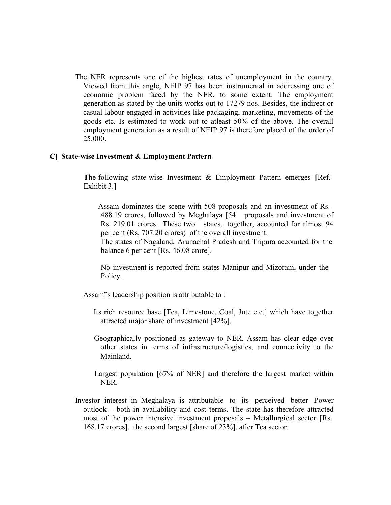The NER represents one of the highest rates of unemployment in the country. Viewed from this angle, NEIP 97 has been instrumental in addressing one of economic problem faced by the NER, to some extent. The employment generation as stated by the units works out to 17279 nos. Besides, the indirect or casual labour engaged in activities like packaging, marketing, movements of the goods etc. Is estimated to work out to atleast 50% of the above. The overall employment generation as a result of NEIP 97 is therefore placed of the order of 25,000.

#### **C] State-wise Investment & Employment Pattern**

**T**he following state-wise Investment & Employment Pattern emerges [Ref. Exhibit 3.]

Assam dominates the scene with 508 proposals and an investment of Rs. 488.19 crores, followed by Meghalaya [54 proposals and investment of Rs. 219.01 crores. These two states, together, accounted for almost 94 per cent (Rs. 707.20 crores) of the overall investment.

The states of Nagaland, Arunachal Pradesh and Tripura accounted for the balance 6 per cent [Rs. 46.08 crore].

No investment is reported from states Manipur and Mizoram, under the Policy.

Assam"s leadership position is attributable to :

- Its rich resource base [Tea, Limestone, Coal, Jute etc.] which have together attracted major share of investment [42%].
- Geographically positioned as gateway to NER. Assam has clear edge over other states in terms of infrastructure/logistics, and connectivity to the Mainland.
- Largest population [67% of NER] and therefore the largest market within NER.
- Investor interest in Meghalaya is attributable to its perceived better Power outlook – both in availability and cost terms. The state has therefore attracted most of the power intensive investment proposals – Metallurgical sector [Rs. 168.17 crores], the second largest [share of 23%], after Tea sector.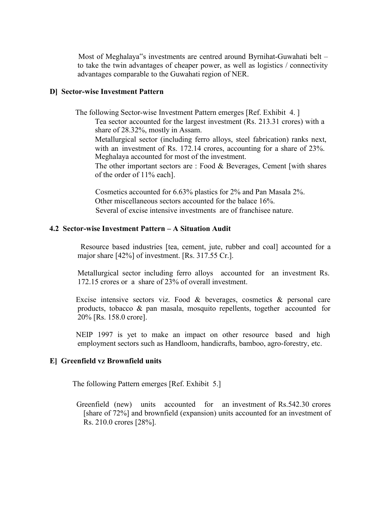Most of Meghalaya"s investments are centred around Byrnihat-Guwahati belt – to take the twin advantages of cheaper power, as well as logistics / connectivity advantages comparable to the Guwahati region of NER.

#### **D] Sector-wise Investment Pattern**

The following Sector-wise Investment Pattern emerges [Ref. Exhibit 4. ]

Tea sector accounted for the largest investment (Rs. 213.31 crores) with a share of 28.32%, mostly in Assam.

Metallurgical sector (including ferro alloys, steel fabrication) ranks next, with an investment of Rs. 172.14 crores, accounting for a share of 23%.<br>Meghalaya accounted for most of the investment.

The other important sectors are : Food  $&$  Beverages, Cement [with shares] of the order of 11% each].

Cosmetics accounted for 6.63% plastics for 2% and Pan Masala 2%. Other miscellaneous sectors accounted for the balace 16%. Several of excise intensive investments are of franchisee nature.

#### **4.2 Sector-wise Investment Pattern – A Situation Audit**

Resource based industries [tea, cement, jute, rubber and coal] accounted for a major share [42%] of investment. [Rs. 317.55 Cr.].

Metallurgical sector including ferro alloys accounted for an investment Rs. 172.15 crores or a share of 23% of overall investment.

Excise intensive sectors viz. Food  $\&$  beverages, cosmetics  $\&$  personal care products, tobacco & pan masala, mosquito repellents, together accounted for 20% [Rs. 158.0 crore].

NEIP 1997 is yet to make an impact on other resource based and high employment sectors such as Handloom, handicrafts, bamboo, agro-forestry, etc.

#### **E] Greenfield vz Brownfield units**

The following Pattern emerges [Ref. Exhibit 5.]

Greenfield (new) units accounted for an investment of Rs.542.30 crores [share of 72%] and brownfield (expansion) units accounted for an investment of Rs. 210.0 crores [28%].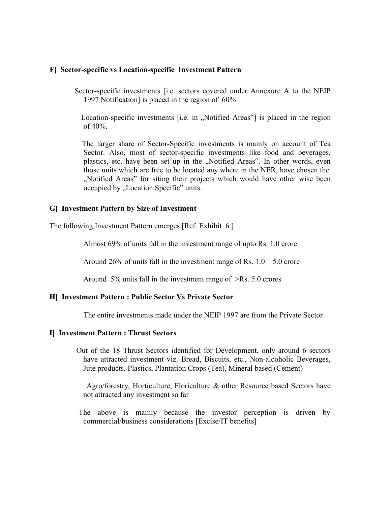#### **F] Sector-specific vs Location-specific Investment Pattern**

Sector-specific investments [i.e. sectors covered under Annexure A to the NEIP 1997 Notification] is placed in the region of 60%

Location-specific investments [i.e. in "Notified Areas"] is placed in the region of 40%.

The larger share of Sector-Specific investments is mainly on account of Tea Sector. Also, most of sector-specific investments like food and beverages, plastics, etc. have been set up in the "Notified Areas". In other words, even those units which are free to be located any where in the NER, have chosen the "Notified Areas" for siting their projects which would have other wise been occupied by "Location Specific" units.

#### **G] Investment Pattern by Size of Investment**

The following Investment Pattern emerges [Ref. Exhibit 6.]

Almost 69% of units fall in the investment range of upto Rs. 1.0 crore.

Around 26% of units fall in the investment range of Rs.  $1.0 - 5.0$  crore

Around 5% units fall in the investment range of  $\ge$ Rs. 5.0 crores

### **H] Investment Pattern : Public Sector Vs Private Sector**

The entire investments made under the NEIP 1997 are from the Private Sector

#### **I] Investment Pattern : Thrust Sectors**

Out of the 18 Thrust Sectors identified for Development, only around 6 sectors have attracted investment viz. Bread, Biscuits, etc., Non-alcoholic Beverages, Jute products, Plastics, Plantation Crops (Tea), Mineral based (Cement)

Agro/forestry, Horticulture, Floriculture & other Resource based Sectors have not attracted any investment so far

The above is mainly because the investor perception is driven by commercial/business considerations [Excise/IT benefits]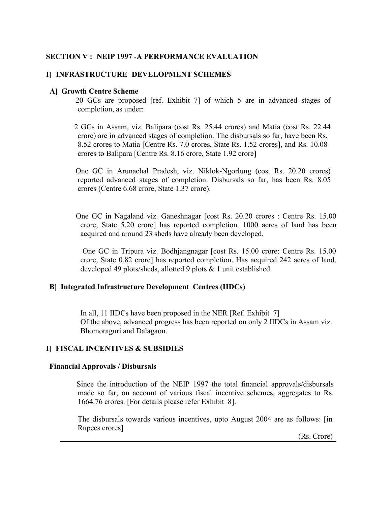### **SECTION V : NEIP 1997** -**A PERFORMANCE EVALUATION**

#### **I] INFRASTRUCTURE DEVELOPMENT SCHEMES**

#### **A] Growth Centre Scheme**

20 GCs are proposed [ref. Exhibit 7] of which 5 are in advanced stages of completion, as under:

2 GCsin Assam, viz. Balipara (cost Rs. 25.44 crores) and Matia (cost Rs. 22.44 crore) are in advanced stages of completion. The disbursals so far, have been Rs. 8.52 crores to Matia [Centre Rs. 7.0 crores, State Rs. 1.52 crores], and Rs. 10.08 crores to Balipara [Centre Rs. 8.16 crore, State 1.92 crore]

One GC in Arunachal Pradesh, viz. Niklok-Ngorlung (cost Rs. 20.20 crores) reported advanced stages of completion. Disbursals so far, has been Rs. 8.05 crores (Centre 6.68 crore, State 1.37 crore).

One GC in Nagaland viz. Ganeshnagar [cost Rs. 20.20 crores : Centre Rs. 15.00 crore, State 5.20 crore] has reported completion. 1000 acres of land has been acquired and around 23 sheds have already been developed.

One GC in Tripura viz. Bodhjangnagar [cost Rs. 15.00 crore: Centre Rs. 15.00 crore, State 0.82 crore] has reported completion. Has acquired 242 acres of land, developed 49 plots/sheds, allotted 9 plots & 1 unit established.

#### **B] Integrated Infrastructure Development Centres (IIDCs)**

In all, 11 IIDCs have been proposed in the NER [Ref. Exhibit 7] Of the above, advanced progress has been reported on only 2 IIDCs in Assam viz. Bhomoraguri and Dalagaon.

#### **I] FISCAL INCENTIVES & SUBSIDIES**

#### **Financial Approvals / Disbursals**

Since the introduction of the NEIP 1997 the total financial approvals/disbursals made so far, on account of various fiscal incentive schemes, aggregates to Rs. 1664.76 crores. [For details please refer Exhibit 8].

The disbursals towards various incentives, upto August 2004 are as follows: [in Rupees crores]

(Rs. Crore)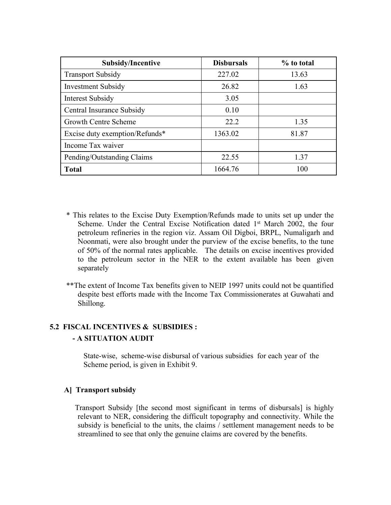| <b>Subsidy/Incentive</b>       | <b>Disbursals</b> | % to total |
|--------------------------------|-------------------|------------|
| <b>Transport Subsidy</b>       | 227.02            | 13.63      |
| <b>Investment Subsidy</b>      | 26.82             | 1.63       |
| Interest Subsidy               | 3.05              |            |
| Central Insurance Subsidy      | 0.10              |            |
| <b>Growth Centre Scheme</b>    | 22.2              | 1.35       |
| Excise duty exemption/Refunds* | 1363.02           | 81.87      |
| Income Tax waiver              |                   |            |
| Pending/Outstanding Claims     | 22.55             | 1.37       |
| <b>Total</b>                   | 1664.76           | 100        |

- \* Thisrelates to the Excise Duty Exemption/Refunds made to units set up under the Scheme. Under the Central Excise Notification dated 1<sup>st</sup> March 2002, the four petroleum refineries in the region viz. Assam Oil Digboi, BRPL, Numaligarh and Noonmati, were also brought under the purview of the excise benefits, to the tune of 50% of the normal rates applicable. The details on excise incentives provided to the petroleum sector in the NER to the extent available has been given separately
- \*\*The extent of Income Tax benefits given to NEIP 1997 units could not be quantified despite best efforts made with the Income Tax Commissionerates at Guwahati and Shillong.

## **5.2 FISCAL INCENTIVES & SUBSIDIES : - A SITUATION AUDIT**

State-wise, scheme-wise disbursal of various subsidies for each year of the Scheme period, is given in Exhibit 9.

### **A] Transport subsidy**

Transport Subsidy [the second most significant in terms of disbursals] is highly relevant to NER, considering the difficult topography and connectivity. While the subsidy is beneficial to the units, the claims / settlement management needs to be streamlined to see that only the genuine claims are covered by the benefits.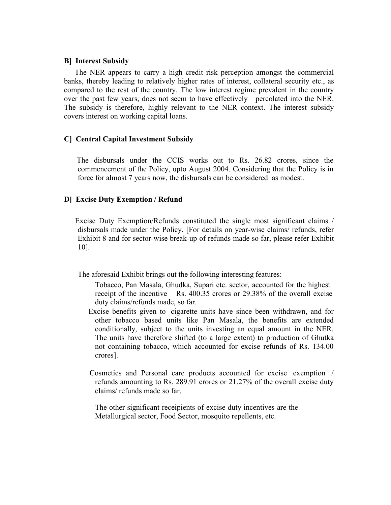#### **B] Interest Subsidy**

The NER appears to carry a high credit risk perception amongst the commercial banks, thereby leading to relatively higher rates of interest, collateral security etc., as compared to the rest of the country. The low interest regime prevalent in the country over the past few years, does not seem to have effectively percolated into the NER. The subsidy is therefore, highly relevant to the NER context. The interest subsidy covers interest on working capital loans.

### **C] Central Capital Investment Subsidy**

The disbursals under the CCIS works out to Rs. 26.82 crores, since the commencement of the Policy, upto August 2004. Considering that the Policy is in force for almost 7 years now, the disbursals can be considered as modest.

#### **D] Excise Duty Exemption / Refund**

Excise Duty Exemption/Refunds constituted the single most significant claims / disbursals made under the Policy. [For details on year-wise claims/refunds, refer Exhibit 8 and for sector-wise break-up of refunds made so far, please refer Exhibit 10].

The aforesaid Exhibit brings out the following interesting features:

- Tobacco, Pan Masala, Ghudka, Supari etc. sector, accounted for the highest receipt of the incentive  $-$  Rs. 400.35 crores or 29.38% of the overall excise duty claims/refunds made, so far.
- Excise benefits given to cigarette units have since been withdrawn, and for other tobacco based units like Pan Masala, the benefits are extended conditionally, subject to the units investing an equal amount in the NER. The units have therefore shifted (to a large extent) to production of Ghutka not containing tobacco, which accounted for excise refunds of Rs. 134.00 crores].
- Cosmetics and Personal care products accounted for excise exemption / refunds amounting to Rs. 289.91 crores or 21.27% of the overall excise duty claims/ refunds made so far.

The other significant receipients of excise duty incentives are the Metallurgical sector, Food Sector, mosquito repellents, etc.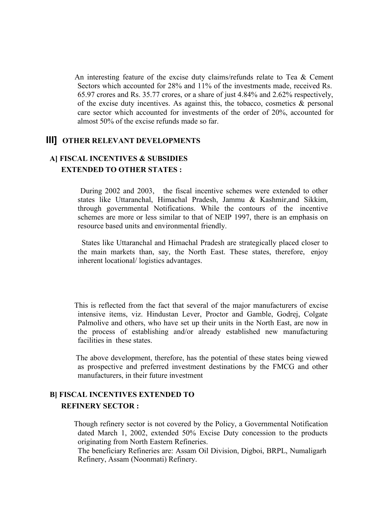An interesting feature of the excise duty claims/refunds relate to Tea & Cement Sectors which accounted for 28% and 11% of the investments made, received Rs. 65.97 crores and Rs. 35.77 crores, or a share of just 4.84% and 2.62% respectively, of the excise duty incentives. As against this, the tobacco, cosmetics  $\&$  personal care sector which accounted for investments of the order of 20%, accounted for almost 50% of the excise refunds made so far.

### **III] OTHER RELEVANT DEVELOPMENTS**

## **A] FISCAL INCENTIVES & SUBSIDIES EXTENDED TO OTHER STATES :**

During 2002 and 2003, the fiscal incentive schemes were extended to other states like Uttaranchal, Himachal Pradesh, Jammu & Kashmir,and Sikkim, through governmental Notifications. While the contours of the incentive schemes are more or less similar to that of NEIP 1997, there is an emphasis on resource based units and environmental friendly.

States like Uttaranchal and Himachal Pradesh are strategically placed closer to the main markets than, say, the North East. These states, therefore, enjoy inherent locational/ logistics advantages.

This is reflected from the fact that several of the major manufacturers of excise intensive items, viz. Hindustan Lever, Proctor and Gamble, Godrej, Colgate Palmolive and others, who have set up their units in the North East, are now in the process of establishing and/or already established new manufacturing facilities in these states.

The above development, therefore, has the potential of these states being viewed as prospective and preferred investment destinations by the FMCG and other manufacturers, in their future investment

## **B] FISCAL INCENTIVES EXTENDED TO REFINERY SECTOR :**

Though refinery sector is not covered by the Policy, a Governmental Notification dated March 1, 2002, extended 50% Excise Duty concession to the products originating from North Eastern Refineries.

The beneficiary Refineries are: Assam Oil Division, Digboi, BRPL, Numaligarh Refinery, Assam (Noonmati) Refinery.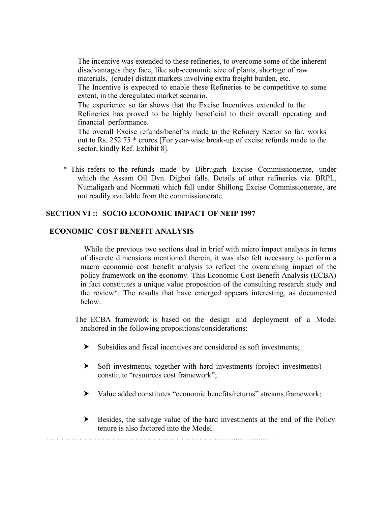The incentive was extended to these refineries, to overcome some of the inherent disadvantages they face, like sub-economic size of plants, shortage of raw materials, (crude) distant markets involving extra freight burden, etc.

The Incentive is expected to enable these Refineries to be competitive to some extent, in the deregulated market scenario.

The experience so far shows that the Excise Incentives extended to the Refineries has proved to be highly beneficial to their overall operating and financial performance.

The overall Excise refunds/benefits made to the Refinery Sector so far, works out to Rs. 252.75 \* crores [For year-wise break-up of excise refunds made to the sector, kindly Ref. Exhibit 8].

\* This refers to the refunds made by Dibrugarh Excise Commissionerate, under which the Assam Oil Dvn. Digboi falls. Details of other refineries viz. BRPL, Numaligarh and Nornmati which fall under Shillong Excise Commissionerate, are not readily available from the commissionerate.

### **SECTION VI :: SOCIO ECONOMIC IMPACT OF NEIP 1997**

### **ECONOMIC COST BENEFIT ANALYSIS**

While the previous two sections deal in brief with micro impact analysis in terms of discrete dimensions mentioned therein, it was also felt necessary to perform a macro economic cost benefit analysis to reflect the overarching impact of the policy framework on the economy. This Economic Cost Benefit Analysis (ECBA) in fact constitutes a unique value proposition of the consulting research study and the review\*. The results that have emerged appears interesting, as documented below.

The ECBA framework is based on the design and deployment of a Model anchored in the following propositions/considerations:

- ⮞ Subsidies and fiscal incentives are considered as soft investments;
- ⮞ Soft investments, together with hard investments (project investments) constitute "resources cost framework";
- ⮞ Value added constitutes "economic benefits/returns" streams.framework;
- $\blacktriangleright$  Besides, the salvage value of the hard investments at the end of the Policy tenure is also factored into the Model.

…………………………………………………………...............................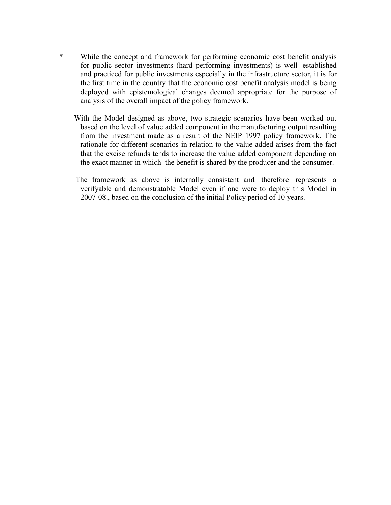- \* While the concept and framework for performing economic cost benefit analysis for public sector investments (hard performing investments) is wellestablished and practiced for public investments especially in the infrastructure sector, it is for the first time in the country that the economic cost benefit analysis model is being deployed with epistemological changes deemed appropriate for the purpose of analysis of the overall impact of the policy framework.
	- With the Model designed as above, two strategic scenarios have been worked out based on the level of value added component in the manufacturing output resulting from the investment made as a result of the NEIP 1997 policy framework. The rationale for different scenarios in relation to the value added arises from the fact that the excise refunds tends to increase the value added component depending on the exact manner in which the benefit is shared by the producer and the consumer.
	- The framework as above is internally consistent and therefore represents a verifyable and demonstratable Model even if one were to deploy this Model in 2007-08., based on the conclusion of the initial Policy period of 10 years.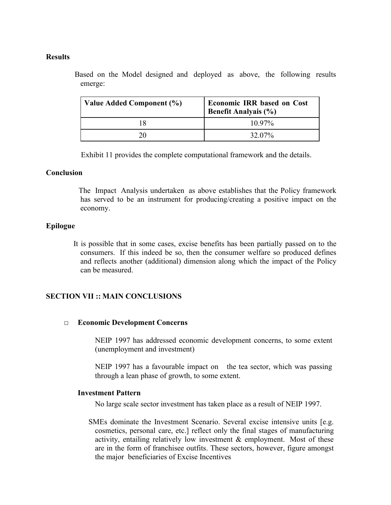#### **Results**

Based on the Model designed and deployed as above, the following results emerge:

| Value Added Component (%) | <b>Economic IRR based on Cost</b><br>Benefit Analyais (%) |
|---------------------------|-----------------------------------------------------------|
|                           | $10.97\%$                                                 |
| 20                        | 32.07%                                                    |

Exhibit 11 provides the complete computational framework and the details.

#### **Conclusion**

The Impact Analysis undertaken as above establishes that the Policy framework has served to be an instrument for producing/creating a positive impact on the economy.

### **Epilogue**

It is possible that in some cases, excise benefits has been partially passed on to the consumers. If this indeed be so, then the consumer welfare so produced defines and reflects another (additional) dimension along which the impact of the Policy can be measured.

### **SECTION VII :: MAIN CONCLUSIONS**

#### **□ Economic Development Concerns**

NEIP 1997 has addressed economic development concerns, to some extent (unemployment and investment)

NEIP 1997 has a favourable impact on the tea sector, which was passing through a lean phase of growth, to some extent.

### **Investment Pattern**

No large scale sector investment has taken place as a result of NEIP 1997.

SMEs dominate the Investment Scenario. Several excise intensive units [e.g. cosmetics, personal care, etc.] reflect only the final stages of manufacturing activity, entailing relatively low investment & employment. Most of these are in the form of franchisee outfits. These sectors, however, figure amongst the major beneficiaries of Excise Incentives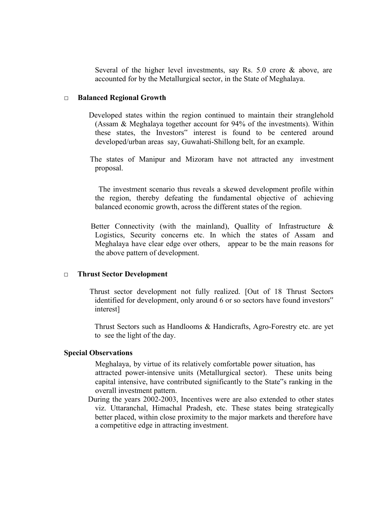Several of the higher level investments, say Rs. 5.0 crore & above, are accounted for by the Metallurgical sector, in the State of Meghalaya.

#### **□ Balanced Regional Growth**

- Developed states within the region continued to maintain their stranglehold (Assam & Meghalaya together account for 94% of the investments). Within these states, the Investors" interest is found to be centered around developed/urban areas say, Guwahati-Shillong belt, for an example.
- The states of Manipur and Mizoram have not attracted any investment proposal.

The investment scenario thus reveals a skewed development profile within the region, thereby defeating the fundamental objective of achieving balanced economic growth, across the different states of the region.

Better Connectivity (with the mainland), Quallity of Infrastructure & Logistics, Security concerns etc. In which the states of Assam and Meghalaya have clear edge over others, appear to be the main reasons for the above pattern of development.

#### **□ Thrust Sector Development**

Thrust sector development not fully realized. [Out of 18 Thrust Sectors identified for development, only around 6 or so sectors have found investors" interest]

Thrust Sectors such as Handlooms & Handicrafts, Agro-Forestry etc. are yet to see the light of the day.

#### **Special Observations**

Meghalaya, by virtue of its relatively comfortable power situation, has attracted power-intensive units (Metallurgical sector). These units being capital intensive, have contributed significantly to the State"s ranking in the overall investment pattern.

During the years 2002-2003, Incentives were are also extended to other states viz. Uttaranchal, Himachal Pradesh, etc. These states being strategically better placed, within close proximity to the major markets and therefore have a competitive edge in attracting investment.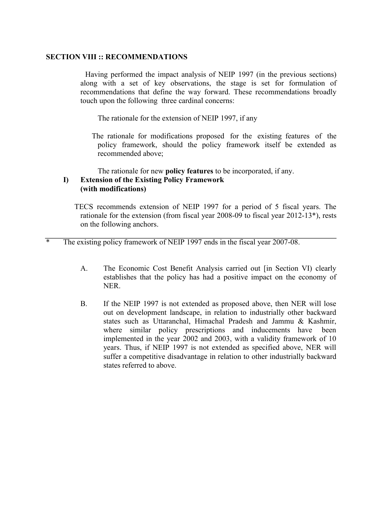### **SECTION VIII :: RECOMMENDATIONS**

Having performed the impact analysis of NEIP 1997 (in the previous sections) along with a set of key observations, the stage is set for formulation of recommendations that define the way forward. These recommendations broadly touch upon the following three cardinal concerns:

The rationale for the extension of NEIP 1997, if any

The rationale for modifications proposed for the existing features of the policy framework, should the policy framework itself be extended as recommended above;

The rationale for new **policy features** to be incorporated, if any.

### **I) Extension of the Existing Policy Framework (with modifications)**

TECS recommends extension of NEIP 1997 for a period of 5 fiscal years. The rationale for the extension (from fiscal year 2008-09 to fiscal year 2012-13\*), rests on the following anchors.

The existing policy framework of NEIP 1997 ends in the fiscal year 2007-08.

- A. The Economic Cost Benefit Analysis carried out [in Section VI) clearly establishes that the policy has had a positive impact on the economy of NER.
- B. If the NEIP 1997 is not extended as proposed above, then NER will lose out on development landscape, in relation to industrially other backward states such as Uttaranchal, Himachal Pradesh and Jammu & Kashmir, where similar policy prescriptions and inducements have been implemented in the year 2002 and 2003, with a validity framework of 10 years. Thus, if NEIP 1997 is not extended as specified above, NER will suffer a competitive disadvantage in relation to other industrially backward states referred to above.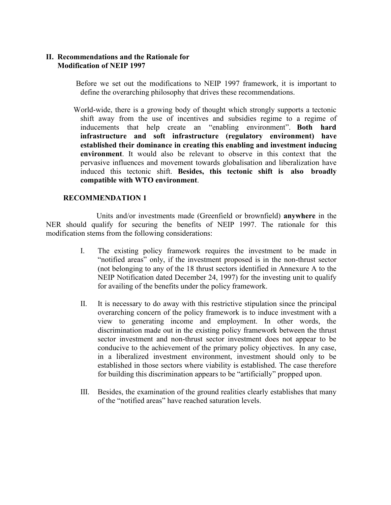### **II. Recommendations and the Rationale for Modification of NEIP 1997**

Before we set out the modifications to NEIP 1997 framework, it is important to define the overarching philosophy that drives these recommendations.

World-wide, there is a growing body of thought which strongly supports a tectonic shift away from the use of incentives and subsidies regime to a regime of inducements that help create an "enabling environment". **Both hard infrastructure and soft infrastructure (regulatory environment) have established their dominance in creating this enabling and investment inducing environment**. It would also be relevant to observe in this context that the pervasive influences and movement towards globalisation and liberalization have induced this tectonic shift. **Besides, this tectonic shift is also broadly compatible with WTO environment**.

### **RECOMMENDATION 1**

Units and/or investments made (Greenfield or brownfield) **anywhere** in the NER should qualify for securing the benefits of NEIP 1997. The rationale for this modification stems from the following considerations:

- I. The existing policy framework requires the investment to be made in "notified areas" only, if the investment proposed is in the non-thrust sector (not belonging to any of the 18 thrust sectors identified in Annexure A to the NEIP Notification dated December 24, 1997) for the investing unit to qualify for availing of the benefits under the policy framework.
- II. It is necessary to do away with this restrictive stipulation since the principal overarching concern of the policy framework is to induce investment with a view to generating income and employment. In other words, the discrimination made out in the existing policy framework between the thrust sector investment and non-thrust sector investment does not appear to be conducive to the achievement of the primary policy objectives. In any case, in a liberalized investment environment, investment should only to be established in those sectors where viability is established. The case therefore for building this discrimination appears to be "artificially" propped upon.
- III. Besides, the examination of the ground realities clearly establishes that many of the "notified areas" have reached saturation levels.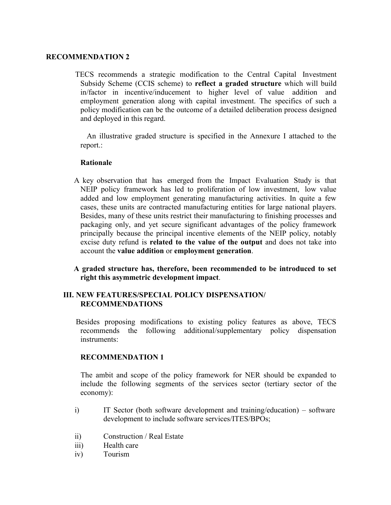#### **RECOMMENDATION 2**

TECS recommends a strategic modification to the Central Capital Investment Subsidy Scheme (CCIS scheme) to **reflect a graded structure** which will build in/factor in incentive/inducement to higher level of value addition and employment generation along with capital investment. The specifics of such a policy modification can be the outcome of a detailed deliberation process designed and deployed in this regard.

An illustrative graded structure is specified in the Annexure I attached to the report.:

### **Rationale**

- A key observation that has emerged from the Impact Evaluation Study is that NEIP policy framework has led to proliferation of low investment, low value added and low employment generating manufacturing activities. In quite a few cases, these units are contracted manufacturing entities for large national players. Besides, many of these units restrict their manufacturing to finishing processes and packaging only, and yet secure significant advantages of the policy framework principally because the principal incentive elements of the NEIP policy, notably excise duty refund is **related to the value of the output** and does not take into account the **value addition** or **employment generation**.
- **A graded structure has, therefore, been recommended to be introduced to set right this asymmetric development impact**.

### **III. NEW FEATURES/SPECIAL POLICY DISPENSATION/ RECOMMENDATIONS**

Besides proposing modifications to existing policy features as above, TECS recommends the following additional/supplementary policy dispensation instruments:

### **RECOMMENDATION 1**

The ambit and scope of the policy framework for NER should be expanded to include the following segments of the services sector (tertiary sector of the economy):

- i) IT Sector (both software development and training/education) software development to include software services/ITES/BPOs;
- ii) Construction / Real Estate
- iii) Health care
- iv) Tourism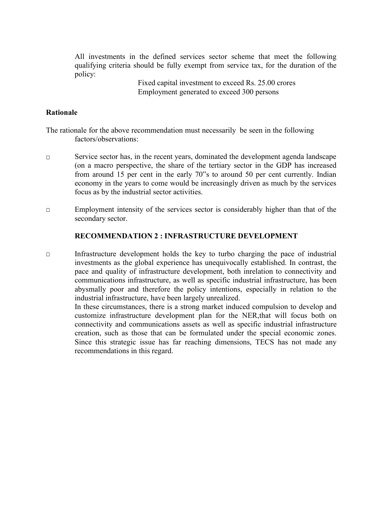All investments in the defined services sector scheme that meet the following qualifying criteria should be fully exempt from service tax, for the duration of the policy:

> Fixed capital investment to exceed Rs. 25.00 crores Employment generated to exceed 300 persons

### **Rationale**

The rationale for the above recommendation must necessarily be seen in the following factors/observations:

- □ Service sector has, in the recent years, dominated the development agenda landscape (on a macro perspective, the share of the tertiary sector in the GDP has increased from around 15 per cent in the early 70"s to around 50 per cent currently. Indian economy in the years to come would be increasingly driven as much by the services focus as by the industrial sector activities.
- □ Employment intensity of the services sector is considerably higher than that of the secondary sector.

#### **RECOMMENDATION 2 : INFRASTRUCTURE DEVELOPMENT**

□ Infrastructure development holds the key to turbo charging the pace of industrial investments as the global experience has unequivocally established. In contrast, the pace and quality of infrastructure development, both inrelation to connectivity and communications infrastructure, as well as specific industrial infrastructure, has been abysmally poor and therefore the policy intentions, especially in relation to the industrial infrastructure, have been largely unrealized.

In these circumstances, there is a strong market induced compulsion to develop and customize infrastructure development plan for the NER,that will focus both on connectivity and communications assets as well as specific industrial infrastructure creation, such as those that can be formulated under the special economic zones. Since this strategic issue has far reaching dimensions, TECS has not made any recommendations in this regard.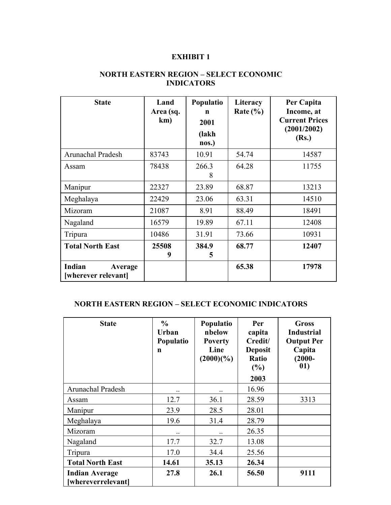| <b>State</b>                                    | Land<br>Area (sq.<br>km) | Populatio<br>n<br>2001<br>(lakh<br>nos.) | Literacy<br>Rate $(\% )$ | Per Capita<br>Income, at<br><b>Current Prices</b><br>(2001/2002)<br>(Rs.) |
|-------------------------------------------------|--------------------------|------------------------------------------|--------------------------|---------------------------------------------------------------------------|
| Arunachal Pradesh                               | 83743                    | 10.91                                    | 54.74                    | 14587                                                                     |
| Assam                                           | 78438                    | 266.3<br>8                               | 64.28                    | 11755                                                                     |
| Manipur                                         | 22327                    | 23.89                                    | 68.87                    | 13213                                                                     |
| Meghalaya                                       | 22429                    | 23.06                                    | 63.31                    | 14510                                                                     |
| Mizoram                                         | 21087                    | 8.91                                     | 88.49                    | 18491                                                                     |
| Nagaland                                        | 16579                    | 19.89                                    | 67.11                    | 12408                                                                     |
| Tripura                                         | 10486                    | 31.91                                    | 73.66                    | 10931                                                                     |
| <b>Total North East</b>                         | 25508<br>9               | 384.9<br>5                               | 68.77                    | 12407                                                                     |
| Indian<br><b>Average</b><br>[wherever relevant] |                          |                                          | 65.38                    | 17978                                                                     |

## **NORTH EASTERN REGION – SELECT ECONOMIC INDICATORS**

## **NORTH EASTERN REGION – SELECT ECONOMIC INDICATORS**

| <b>State</b>                                | $\frac{0}{0}$<br><b>Urban</b><br>Populatio<br>n | Populatio<br>nbelow<br><b>Poverty</b><br>Line<br>$(2000)(\%)$ | Per<br>capita<br>Credit/<br><b>Deposit</b><br>Ratio<br>(%)<br>2003 | <b>Gross</b><br><b>Industrial</b><br><b>Output Per</b><br>Capita<br>$(2000 -$<br>01) |
|---------------------------------------------|-------------------------------------------------|---------------------------------------------------------------|--------------------------------------------------------------------|--------------------------------------------------------------------------------------|
| Arunachal Pradesh                           | $\cdot$ .                                       | $\cdot$ .                                                     | 16.96                                                              |                                                                                      |
| Assam                                       | 12.7                                            | 36.1                                                          | 28.59                                                              | 3313                                                                                 |
| Manipur                                     | 23.9                                            | 28.5                                                          | 28.01                                                              |                                                                                      |
| Meghalaya                                   | 19.6                                            | 31.4                                                          | 28.79                                                              |                                                                                      |
| Mizoram                                     | $\cdot$ .                                       |                                                               | 26.35                                                              |                                                                                      |
| Nagaland                                    | 17.7                                            | 32.7                                                          | 13.08                                                              |                                                                                      |
| Tripura                                     | 17.0                                            | 34.4                                                          | 25.56                                                              |                                                                                      |
| <b>Total North East</b>                     | 14.61                                           | 35.13                                                         | 26.34                                                              |                                                                                      |
| <b>Indian Average</b><br>[whereverrelevant] | 27.8                                            | 26.1                                                          | 56.50                                                              | 9111                                                                                 |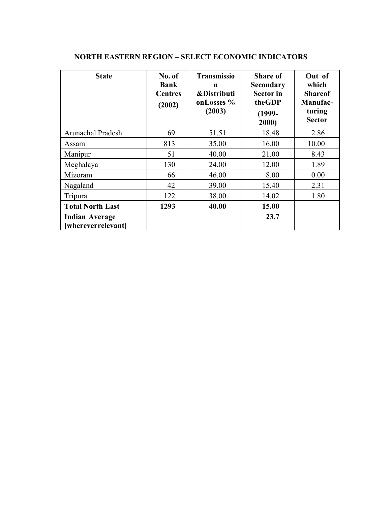| <b>State</b>                                | No. of<br><b>Bank</b><br><b>Centres</b><br>(2002) | <b>Transmissio</b><br>$\mathbf n$<br><b>&amp;Distributi</b><br>onLosses %<br>(2003) | <b>Share of</b><br><b>Secondary</b><br><b>Sector</b> in<br>theGDP<br>$(1999-$<br>2000) | Out of<br>which<br><b>Shareof</b><br>Manufac-<br>turing<br><b>Sector</b> |
|---------------------------------------------|---------------------------------------------------|-------------------------------------------------------------------------------------|----------------------------------------------------------------------------------------|--------------------------------------------------------------------------|
| Arunachal Pradesh                           | 69                                                | 51.51                                                                               | 18.48                                                                                  | 2.86                                                                     |
| Assam                                       | 813                                               | 35.00                                                                               | 16.00                                                                                  | 10.00                                                                    |
| Manipur                                     | 51                                                | 40.00                                                                               | 21.00                                                                                  | 8.43                                                                     |
| Meghalaya                                   | 130                                               | 24.00                                                                               | 12.00                                                                                  | 1.89                                                                     |
| Mizoram                                     | 66                                                | 46.00                                                                               | 8.00                                                                                   | 0.00                                                                     |
| Nagaland                                    | 42                                                | 39.00                                                                               | 15.40                                                                                  | 2.31                                                                     |
| Tripura                                     | 122                                               | 38.00                                                                               | 14.02                                                                                  | 1.80                                                                     |
| <b>Total North East</b>                     | 1293                                              | 40.00                                                                               | 15.00                                                                                  |                                                                          |
| <b>Indian Average</b><br>[whereverrelevant] |                                                   |                                                                                     | 23.7                                                                                   |                                                                          |

## **NORTH EASTERN REGION – SELECT ECONOMIC INDICATORS**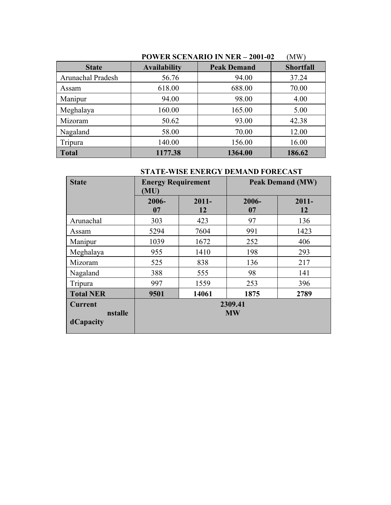|                   | POWER SCENARIO IN NER – 2001-02<br><b>NIW</b> |                    |                  |  |  |  |
|-------------------|-----------------------------------------------|--------------------|------------------|--|--|--|
| <b>State</b>      | <b>Availability</b>                           | <b>Peak Demand</b> | <b>Shortfall</b> |  |  |  |
| Arunachal Pradesh | 56.76                                         | 94.00              | 37.24            |  |  |  |
| Assam             | 618.00                                        | 688.00             | 70.00            |  |  |  |
| Manipur           | 94.00                                         | 98.00              | 4.00             |  |  |  |
| Meghalaya         | 160.00                                        | 165.00             | 5.00             |  |  |  |
| Mizoram           | 50.62                                         | 93.00              | 42.38            |  |  |  |
| Nagaland          | 58.00                                         | 70.00              | 12.00            |  |  |  |
| Tripura           | 140.00                                        | 156.00             | 16.00            |  |  |  |
| <b>Total</b>      | 1177.38                                       | 1364.00            | 186.62           |  |  |  |

# **POWER SCENARIO IN NER – 2001-02** (MW)

## **STATE-WISE ENERGY DEMAND FORECAST**

| <b>State</b>                           | <b>Energy Requirement</b><br>(MU) |                |                      | <b>Peak Demand (MW)</b> |  |
|----------------------------------------|-----------------------------------|----------------|----------------------|-------------------------|--|
|                                        | 2006-<br>07                       | $2011 -$<br>12 | 2006-<br>07          | $2011 -$<br>12          |  |
| Arunachal                              | 303                               | 423            | 97                   | 136                     |  |
| Assam                                  | 5294                              | 7604           | 991                  | 1423                    |  |
| Manipur                                | 1039                              | 1672           | 252                  | 406                     |  |
| Meghalaya                              | 955                               | 1410           | 198                  | 293                     |  |
| Mizoram                                | 525                               | 838            | 136                  | 217                     |  |
| Nagaland                               | 388                               | 555            | 98                   | 141                     |  |
| Tripura                                | 997                               | 1559           | 253                  | 396                     |  |
| <b>Total NER</b>                       | 9501                              | 14061          | 1875                 | 2789                    |  |
| <b>Current</b><br>nstalle<br>dCapacity |                                   |                | 2309.41<br><b>MW</b> |                         |  |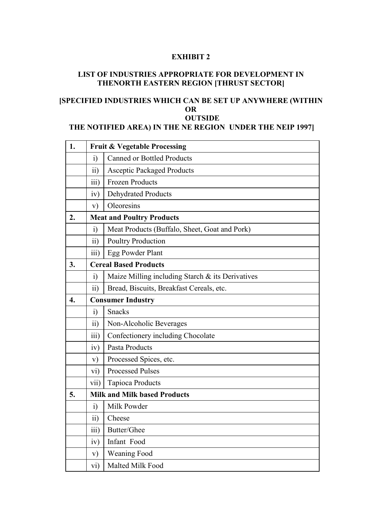## **LIST OF INDUSTRIES APPROPRIATE FOR DEVELOPMENT IN THENORTH EASTERN REGION [THRUST SECTOR]**

## **[SPECIFIED INDUSTRIES WHICH CAN BE SET UP ANYWHERE (WITHIN OR OUTSIDE**

## **THE NOTIFIED AREA) IN THE NE REGION UNDER THE NEIP 1997]**

| 1.               |                  | <b>Fruit &amp; Vegetable Processing</b>          |  |  |  |  |  |  |  |
|------------------|------------------|--------------------------------------------------|--|--|--|--|--|--|--|
|                  | $\ddot{1}$       | <b>Canned or Bottled Products</b>                |  |  |  |  |  |  |  |
|                  | $\overline{11}$  | <b>Asceptic Packaged Products</b>                |  |  |  |  |  |  |  |
|                  | iii)             | <b>Frozen Products</b>                           |  |  |  |  |  |  |  |
|                  | iv)              | <b>Dehydrated Products</b>                       |  |  |  |  |  |  |  |
|                  | V)               | Oleoresins                                       |  |  |  |  |  |  |  |
| 2.               |                  | <b>Meat and Poultry Products</b>                 |  |  |  |  |  |  |  |
|                  | $\ddot{1}$       | Meat Products (Buffalo, Sheet, Goat and Pork)    |  |  |  |  |  |  |  |
|                  | $\overline{11}$  | <b>Poultry Production</b>                        |  |  |  |  |  |  |  |
|                  | $\overline{111}$ | Egg Powder Plant                                 |  |  |  |  |  |  |  |
| 3.               |                  | <b>Cereal Based Products</b>                     |  |  |  |  |  |  |  |
|                  | $\ddot{1}$       | Maize Milling including Starch & its Derivatives |  |  |  |  |  |  |  |
|                  | $\overline{11}$  | Bread, Biscuits, Breakfast Cereals, etc.         |  |  |  |  |  |  |  |
| $\overline{4}$ . |                  | <b>Consumer Industry</b>                         |  |  |  |  |  |  |  |
|                  | $\ddot{1}$       | <b>Snacks</b>                                    |  |  |  |  |  |  |  |
|                  | $\overline{11}$  | Non-Alcoholic Beverages                          |  |  |  |  |  |  |  |
|                  | $\overline{111}$ | Confectionery including Chocolate                |  |  |  |  |  |  |  |
|                  | iv)              | Pasta Products                                   |  |  |  |  |  |  |  |
|                  | V)               | Processed Spices, etc.                           |  |  |  |  |  |  |  |
|                  | $\rm vi)$        | <b>Processed Pulses</b>                          |  |  |  |  |  |  |  |
|                  | vii)             | Tapioca Products                                 |  |  |  |  |  |  |  |
| 5.               |                  | <b>Milk and Milk based Products</b>              |  |  |  |  |  |  |  |
|                  | $\ddot{1}$       | Milk Powder                                      |  |  |  |  |  |  |  |
|                  | $\overline{11}$  | Cheese                                           |  |  |  |  |  |  |  |
|                  | $\overline{111}$ | Butter/Ghee                                      |  |  |  |  |  |  |  |
|                  | iv)              | Infant Food                                      |  |  |  |  |  |  |  |
|                  | $\mathbf{v})$    | <b>Weaning Food</b>                              |  |  |  |  |  |  |  |
|                  | vi)              | Malted Milk Food                                 |  |  |  |  |  |  |  |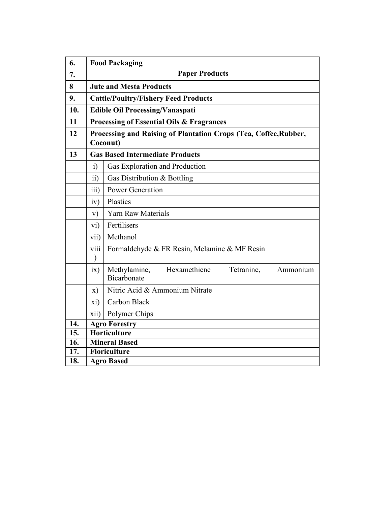| 6.                |                                                 | <b>Food Packaging</b>                                                        |  |  |  |  |  |  |  |
|-------------------|-------------------------------------------------|------------------------------------------------------------------------------|--|--|--|--|--|--|--|
| 7.                |                                                 | <b>Paper Products</b>                                                        |  |  |  |  |  |  |  |
| $\bf{8}$          |                                                 | <b>Jute and Mesta Products</b>                                               |  |  |  |  |  |  |  |
| 9.                |                                                 | <b>Cattle/Poultry/Fishery Feed Products</b>                                  |  |  |  |  |  |  |  |
| 10.               |                                                 | <b>Edible Oil Processing/Vanaspati</b>                                       |  |  |  |  |  |  |  |
| 11                |                                                 | <b>Processing of Essential Oils &amp; Fragrances</b>                         |  |  |  |  |  |  |  |
| 12                |                                                 | Processing and Raising of Plantation Crops (Tea, Coffee, Rubber,<br>Coconut) |  |  |  |  |  |  |  |
| 13                |                                                 | <b>Gas Based Intermediate Products</b>                                       |  |  |  |  |  |  |  |
|                   | $\ddot{i}$                                      | Gas Exploration and Production                                               |  |  |  |  |  |  |  |
|                   | $\overline{11}$<br>Gas Distribution & Bottling  |                                                                              |  |  |  |  |  |  |  |
|                   | iii)                                            | <b>Power Generation</b>                                                      |  |  |  |  |  |  |  |
|                   | iv)<br>Plastics                                 |                                                                              |  |  |  |  |  |  |  |
|                   | <b>Yarn Raw Materials</b><br>V)                 |                                                                              |  |  |  |  |  |  |  |
|                   | Fertilisers<br>$\overline{vi}$                  |                                                                              |  |  |  |  |  |  |  |
|                   | vii)                                            | Methanol                                                                     |  |  |  |  |  |  |  |
|                   | viii                                            | Formaldehyde & FR Resin, Melamine & MF Resin                                 |  |  |  |  |  |  |  |
|                   | ix)                                             | Methylamine,<br>Hexamethiene<br>Tetranine,<br>Ammonium<br>Bicarbonate        |  |  |  |  |  |  |  |
|                   | Nitric Acid & Ammonium Nitrate<br>$\mathbf{x})$ |                                                                              |  |  |  |  |  |  |  |
|                   | Carbon Black<br>xi)                             |                                                                              |  |  |  |  |  |  |  |
|                   | xii)                                            | Polymer Chips                                                                |  |  |  |  |  |  |  |
| 14.               |                                                 | <b>Agro Forestry</b>                                                         |  |  |  |  |  |  |  |
| 15.               |                                                 | <b>Horticulture</b>                                                          |  |  |  |  |  |  |  |
| $\overline{16}$ . |                                                 | <b>Mineral Based</b>                                                         |  |  |  |  |  |  |  |
| $\overline{17}$ . |                                                 | Floriculture                                                                 |  |  |  |  |  |  |  |
| 18.               | <b>Agro Based</b>                               |                                                                              |  |  |  |  |  |  |  |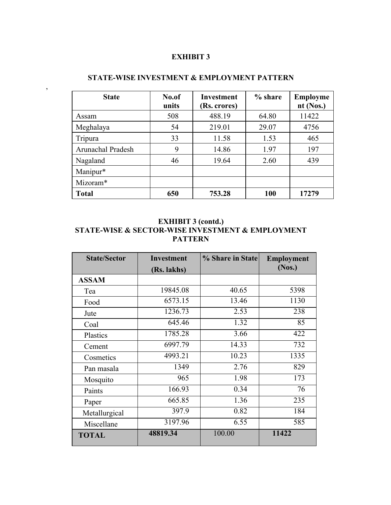| <b>State</b>      | No.of<br>units | Investment<br>(Rs. crores) | % share | Employme<br>nt (Nos.) |
|-------------------|----------------|----------------------------|---------|-----------------------|
| Assam             | 508            | 488.19                     | 64.80   | 11422                 |
| Meghalaya         | 54             | 219.01                     | 29.07   | 4756                  |
| Tripura           | 33             | 11.58                      | 1.53    | 465                   |
| Arunachal Pradesh | 9              | 14.86                      | 1.97    | 197                   |
| Nagaland          | 46             | 19.64                      | 2.60    | 439                   |
| Manipur*          |                |                            |         |                       |
| Mizoram*          |                |                            |         |                       |
| <b>Total</b>      | 650            | 753.28                     | 100     | 17279                 |

## **STATE-WISE INVESTMENT & EMPLOYMENT PATTERN**

## **EXHIBIT 3 (contd.) STATE-WISE & SECTOR-WISE INVESTMENT & EMPLOYMENT PATTERN**

| <b>State/Sector</b> | Investment  | % Share in State | <b>Employment</b> |
|---------------------|-------------|------------------|-------------------|
|                     | (Rs. lakhs) |                  | (Nos.)            |
| <b>ASSAM</b>        |             |                  |                   |
| Tea                 | 19845.08    | 40.65            | 5398              |
| Food                | 6573.15     | 13.46            | 1130              |
| Jute                | 1236.73     | 2.53             | 238               |
| Coal                | 645.46      | 1.32             | 85                |
| Plastics            | 1785.28     | 3.66             | 422               |
| Cement              | 6997.79     | 14.33            | 732               |
| Cosmetics           | 4993.21     | 10.23            | 1335              |
| Pan masala          | 1349        | 2.76             | 829               |
| Mosquito            | 965         | 1.98             | 173               |
| Paints              | 166.93      | 0.34             | 76                |
| Paper               | 665.85      | 1.36             | 235               |
| Metallurgical       | 397.9       | 0.82             | 184               |
| Miscellane          | 3197.96     | 6.55             | 585               |
| <b>TOTAL</b>        | 48819.34    | 100.00           | 11422             |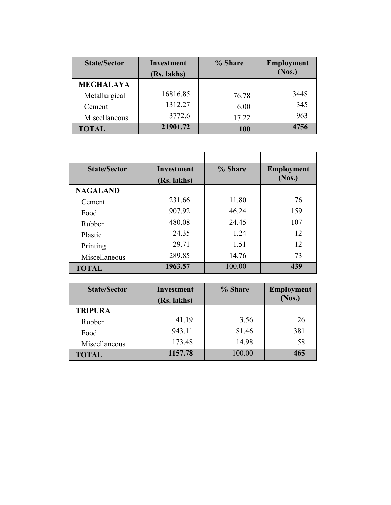| <b>State/Sector</b> | <b>Investment</b> | % Share | <b>Employment</b> |  |
|---------------------|-------------------|---------|-------------------|--|
|                     | (Rs. lakhs)       |         | (Nos.)            |  |
| <b>MEGHALAYA</b>    |                   |         |                   |  |
| Metallurgical       | 16816.85          | 76.78   | 3448              |  |
| Cement              | 1312.27           | 6.00    | 345               |  |
| Miscellaneous       | 3772.6            | 17.22   | 963               |  |
| <b>TOTAL</b>        | 21901.72          | 100     | 4756              |  |

| <b>State/Sector</b> | Investment  | % Share | <b>Employment</b> |
|---------------------|-------------|---------|-------------------|
|                     | (Rs. lakhs) |         | (Nos.)            |
| <b>NAGALAND</b>     |             |         |                   |
| Cement              | 231.66      | 11.80   | 76                |
| Food                | 907.92      | 46.24   | 159               |
| Rubber              | 480.08      | 24.45   | 107               |
| Plastic             | 24.35       | 1.24    | 12                |
| Printing            | 29.71       | 1.51    | 12                |
| Miscellaneous       | 289.85      | 14.76   | 73                |
| <b>TOTAL</b>        | 1963.57     | 100.00  | 439               |

| <b>State/Sector</b> | Investment<br>(Rs. lakhs) | % Share | <b>Employment</b><br>(Nos.) |  |
|---------------------|---------------------------|---------|-----------------------------|--|
| <b>TRIPURA</b>      |                           |         |                             |  |
| Rubber              | 41.19                     | 3.56    | 26                          |  |
| Food                | 943.11                    | 81.46   | 381                         |  |
| Miscellaneous       | 173.48                    | 14.98   | 58                          |  |
| <b>TOTAL</b>        | 1157.78                   | 100.00  | 465                         |  |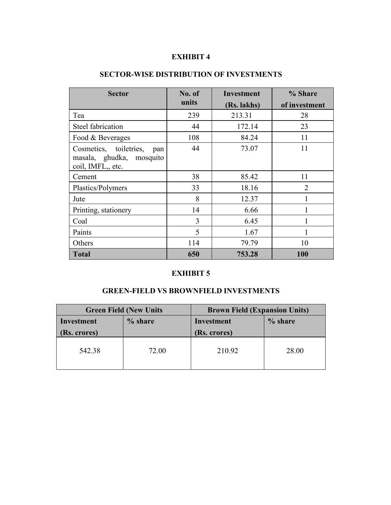| <b>Sector</b>                                                                  | No. of         | <b>Investment</b> | % Share        |
|--------------------------------------------------------------------------------|----------------|-------------------|----------------|
|                                                                                | units          | (Rs. lakhs)       | of investment  |
| Tea                                                                            | 239            | 213.31            | 28             |
| Steel fabrication                                                              | 44             | 172.14            | 23             |
| Food & Beverages                                                               | 108            | 84.24             | 11             |
| Cosmetics, toiletries,<br>pan<br>masala, ghudka, mosquito<br>coil, IMFL,, etc. | 44             | 73.07             | 11             |
| Cement                                                                         | 38             | 85.42             | 11             |
| Plastics/Polymers                                                              | 33             | 18.16             | $\overline{2}$ |
| Jute                                                                           | 8              | 12.37             |                |
| Printing, stationery                                                           | 14             | 6.66              |                |
| Coal                                                                           | $\overline{3}$ | 6.45              |                |
| Paints                                                                         | 5              | 1.67              |                |
| Others                                                                         | 114            | 79.79             | 10             |
| Total                                                                          | 650            | 753.28            | 100            |

## **SECTOR-WISE DISTRIBUTION OF INVESTMENTS**

### **EXHIBIT 5**

## **GREEN-FIELD VS BROWNFIELD INVESTMENTS**

|             | <b>Green Field (New Units)</b> | <b>Brown Field (Expansion Units)</b> |         |  |
|-------------|--------------------------------|--------------------------------------|---------|--|
| Investment  | % share                        | Investment                           | % share |  |
| (Rs. cross) |                                | (Rs. crores)                         |         |  |
| 542.38      | 72.00                          | 210.92                               | 28.00   |  |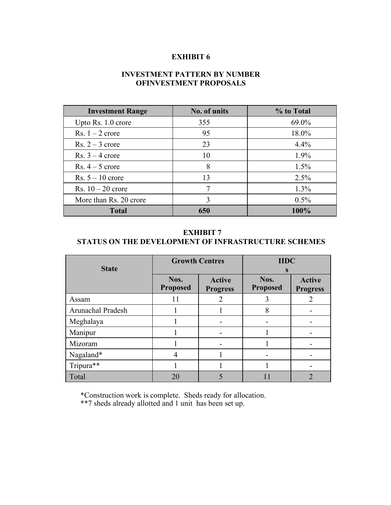## **INVESTMENT PATTERN BY NUMBER OFINVESTMENT PROPOSALS**

| <b>Investment Range</b> | No. of units | % to Total |
|-------------------------|--------------|------------|
| Upto Rs. 1.0 crore      | 355          | 69.0%      |
| Rs. $1 - 2$ crore       | 95           | 18.0%      |
| Rs. $2-3$ crore         | 23           | 4.4%       |
| Rs. $3 - 4$ crore       | 10           | $1.9\%$    |
| Rs. $4-5$ crore         | 8            | $1.5\%$    |
| Rs. $5 - 10$ crore      | 13           | $2.5\%$    |
| Rs. $10-20$ crore       |              | $1.3\%$    |
| More than Rs. 20 crore  |              | $0.5\%$    |
| <b>Total</b>            | 650          | 100%       |

## **EXHIBIT 7**

#### **STATUS ON THE DEVELOPMENT OF INFRASTRUCTURE SCHEMES**

|                   | <b>Growth Centres</b>   |                                  | <b>IIDC</b>             |                                  |  |
|-------------------|-------------------------|----------------------------------|-------------------------|----------------------------------|--|
| <b>State</b>      |                         |                                  | S                       |                                  |  |
|                   | Nos.<br><b>Proposed</b> | <b>Active</b><br><b>Progress</b> | Nos.<br><b>Proposed</b> | <b>Active</b><br><b>Progress</b> |  |
| Assam             | 11                      | 2                                | 3                       | 2                                |  |
| Arunachal Pradesh |                         |                                  | 8                       |                                  |  |
| Meghalaya         |                         | $\overline{\phantom{a}}$         |                         |                                  |  |
| Manipur           |                         | $\overline{\phantom{a}}$         |                         |                                  |  |
| Mizoram           |                         | $\overline{\phantom{a}}$         |                         |                                  |  |
| Nagaland*         | $\overline{4}$          |                                  |                         |                                  |  |
| Tripura**         |                         |                                  |                         |                                  |  |
| Total             | 20                      | 5                                | 11                      | $\overline{2}$                   |  |

\*Construction work is complete. Sheds ready for allocation.

\*\*7 sheds already allotted and 1 unit has been set up.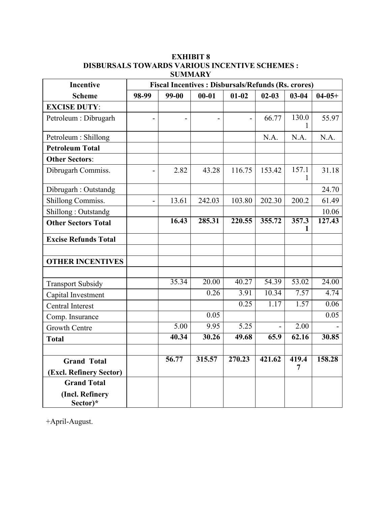### **EXHIBIT 8 DISBURSALS TOWARDS VARIOUS INCENTIVE SCHEMES : SUMMARY**

| Incentive                                | <b>Fiscal Incentives : Disbursals/Refunds (Rs. crores)</b> |                    |                    |                          |           |                    |             |  |
|------------------------------------------|------------------------------------------------------------|--------------------|--------------------|--------------------------|-----------|--------------------|-------------|--|
| <b>Scheme</b>                            | 98-99                                                      | 99-00              | $00 - 01$          | $01 - 02$                | $02 - 03$ | $03 - 04$          | $04 - 05 +$ |  |
| <b>EXCISE DUTY:</b>                      |                                                            |                    |                    |                          |           |                    |             |  |
| Petroleum : Dibrugarh                    |                                                            | $\overline{a}$     |                    | $\overline{\phantom{a}}$ | 66.77     | 130.0<br>1         | 55.97       |  |
| Petroleum : Shillong                     |                                                            |                    |                    |                          | N.A.      | N.A.               | N.A.        |  |
| <b>Petroleum Total</b>                   |                                                            |                    |                    |                          |           |                    |             |  |
| <b>Other Sectors:</b>                    |                                                            |                    |                    |                          |           |                    |             |  |
| Dibrugarh Commiss.                       |                                                            | 2.82               | 43.28              | 116.75                   | 153.42    | 157.1<br>1         | 31.18       |  |
| Dibrugarh: Outstandg                     |                                                            |                    |                    |                          |           |                    | 24.70       |  |
| Shillong Commiss.                        |                                                            | 13.61              | 242.03             | 103.80                   | 202.30    | 200.2              | 61.49       |  |
| Shillong: Outstandg                      |                                                            |                    |                    |                          |           |                    | 10.06       |  |
| <b>Other Sectors Total</b>               |                                                            | 16.43              | 285.31             | 220.55                   | 355.72    | 357.3<br>1         | 127.43      |  |
| <b>Excise Refunds Total</b>              |                                                            |                    |                    |                          |           |                    |             |  |
| <b>OTHER INCENTIVES</b>                  |                                                            |                    |                    |                          |           |                    |             |  |
| <b>Transport Subsidy</b>                 |                                                            | 35.34              | $\overline{20.00}$ | 40.27                    | 54.39     | $\overline{53.02}$ | 24.00       |  |
| Capital Investment                       |                                                            |                    | 0.26               | 3.91                     | 10.34     | 7.57               | 4.74        |  |
| <b>Central Interest</b>                  |                                                            |                    |                    | 0.25                     | 1.17      | 1.57               | 0.06        |  |
| Comp. Insurance                          |                                                            |                    | 0.05               |                          |           |                    | 0.05        |  |
| <b>Growth Centre</b>                     |                                                            | $\overline{5.00}$  | 9.95               | $\overline{5.25}$        |           | 2.00               |             |  |
| <b>Total</b>                             |                                                            | 40.34              | 30.26              | 49.68                    | 65.9      | 62.16              | 30.85       |  |
| <b>Grand Total</b>                       |                                                            | $\overline{56.77}$ | 315.57             | 270.23                   | 421.62    | 419.4              | 158.28      |  |
| (Excl. Refinery Sector)                  |                                                            |                    |                    |                          |           | $\overline{7}$     |             |  |
| <b>Grand Total</b>                       |                                                            |                    |                    |                          |           |                    |             |  |
| (Incl. Refinery<br>$Sector$ <sup>*</sup> |                                                            |                    |                    |                          |           |                    |             |  |

+April-August.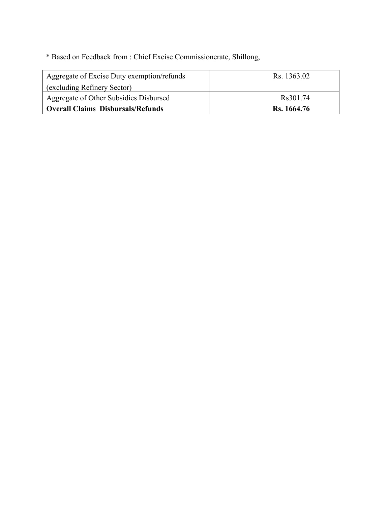\* Based on Feedback from : Chief Excise Commissionerate, Shillong,

| Aggregate of Excise Duty exemption/refunds | Rs. 1363.02 |
|--------------------------------------------|-------------|
| (excluding Refinery Sector)                |             |
| Aggregate of Other Subsidies Disbursed     | Rs301.74    |
| Overall Claims Disbursals/Refunds          | Rs. 1664.76 |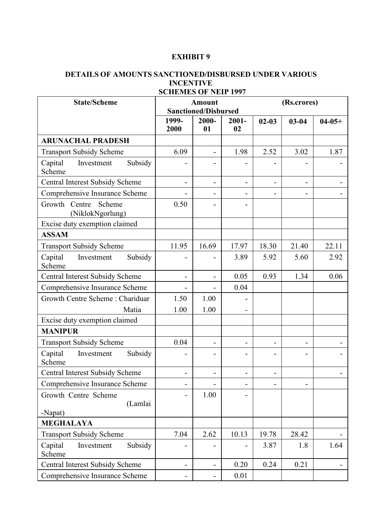## **DETAILS OF AMOUNTS SANCTIONED/DISBURSED UNDER VARIOUS INCENTIVE**

| <b>State/Scheme</b>                         |                              | <b>Amount</b><br><b>Sanctioned/Disbursed</b> |                              | (Rs.crores)                  |           |                          |  |  |
|---------------------------------------------|------------------------------|----------------------------------------------|------------------------------|------------------------------|-----------|--------------------------|--|--|
|                                             | 1999-<br>2000                | 2000-<br>01                                  | $2001 -$<br>02               | $02 - 03$                    | $03 - 04$ | $04-05+$                 |  |  |
| <b>ARUNACHAL PRADESH</b>                    |                              |                                              |                              |                              |           |                          |  |  |
| <b>Transport Subsidy Scheme</b>             | 6.09                         | $\overline{\phantom{a}}$                     | 1.98                         | 2.52                         | 3.02      | 1.87                     |  |  |
| Capital<br>Investment<br>Subsidy<br>Scheme  |                              | $\overline{a}$                               |                              |                              |           |                          |  |  |
| Central Interest Subsidy Scheme             | $\overline{\phantom{a}}$     | $\overline{\phantom{a}}$                     | $\overline{\phantom{m}}$     | $\overline{\phantom{a}}$     | -         | $\overline{a}$           |  |  |
| Comprehensive Insurance Scheme              | $\overline{\phantom{a}}$     | $\overline{\phantom{a}}$                     | $\qquad \qquad \blacksquare$ | $\overline{\phantom{a}}$     | -         |                          |  |  |
| Growth Centre<br>Scheme<br>(NiklokNgorlung) | 0.50                         | $\overline{\phantom{a}}$                     | $\qquad \qquad \blacksquare$ |                              |           |                          |  |  |
| Excise duty exemption claimed               |                              |                                              |                              |                              |           |                          |  |  |
| <b>ASSAM</b>                                |                              |                                              |                              |                              |           |                          |  |  |
| <b>Transport Subsidy Scheme</b>             | 11.95                        | 16.69                                        | 17.97                        | 18.30                        | 21.40     | 22.11                    |  |  |
| Subsidy<br>Capital<br>Investment<br>Scheme  |                              | $\overline{a}$                               | 3.89                         | 5.92                         | 5.60      | 2.92                     |  |  |
| <b>Central Interest Subsidy Scheme</b>      | $\overline{\phantom{a}}$     | $\overline{\phantom{0}}$                     | 0.05                         | 0.93                         | 1.34      | 0.06                     |  |  |
| Comprehensive Insurance Scheme              |                              |                                              | 0.04                         |                              |           |                          |  |  |
| Growth Centre Scheme: Chariduar             | 1.50                         | 1.00                                         |                              |                              |           |                          |  |  |
| Matia                                       | 1.00                         | 1.00                                         | -                            |                              |           |                          |  |  |
| Excise duty exemption claimed               |                              |                                              |                              |                              |           |                          |  |  |
| <b>MANIPUR</b>                              |                              |                                              |                              |                              |           |                          |  |  |
| <b>Transport Subsidy Scheme</b>             | 0.04                         | $\overline{\phantom{a}}$                     | $\overline{\phantom{m}}$     | $\blacksquare$               | -         |                          |  |  |
| Subsidy<br>Capital<br>Investment<br>Scheme  |                              | $\overline{\phantom{a}}$                     | $\overline{a}$               | $\qquad \qquad \blacksquare$ | -         |                          |  |  |
| Central Interest Subsidy Scheme             | $\overline{\phantom{a}}$     | $\overline{\phantom{a}}$                     | $\qquad \qquad \blacksquare$ | $\blacksquare$               |           | $\blacksquare$           |  |  |
| Comprehensive Insurance Scheme              | $\overline{\phantom{a}}$     | $\overline{a}$                               | $\overline{\phantom{0}}$     | $\overline{\phantom{a}}$     | -         |                          |  |  |
| Growth Centre Scheme<br>(Lamlai             | $\overline{\phantom{a}}$     | 1.00                                         | -                            |                              |           |                          |  |  |
| -Napat)                                     |                              |                                              |                              |                              |           |                          |  |  |
| <b>MEGHALAYA</b>                            |                              |                                              |                              |                              |           |                          |  |  |
| <b>Transport Subsidy Scheme</b>             | 7.04                         | 2.62                                         | 10.13                        | 19.78                        | 28.42     |                          |  |  |
| Subsidy<br>Capital<br>Investment<br>Scheme  | $\overline{a}$               | $\qquad \qquad \blacksquare$                 | $\overline{\phantom{0}}$     | 3.87                         | 1.8       | 1.64                     |  |  |
| <b>Central Interest Subsidy Scheme</b>      | $\overline{\phantom{a}}$     | $\blacksquare$                               | 0.20                         | 0.24                         | 0.21      | $\overline{\phantom{a}}$ |  |  |
| Comprehensive Insurance Scheme              | $\qquad \qquad \blacksquare$ | $\blacksquare$                               | 0.01                         |                              |           |                          |  |  |

## **SCHEMES OF NEIP 1997**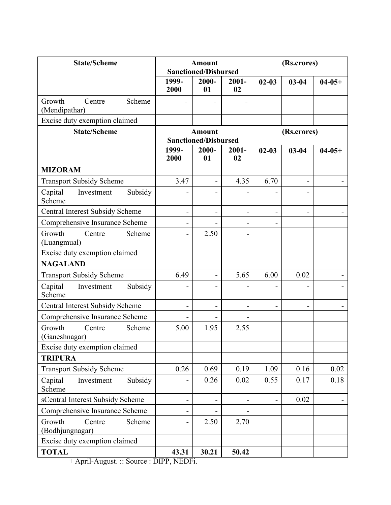| <b>State/Scheme</b>                           |                              | <b>Amount</b><br><b>Sanctioned/Disbursed</b> |                              | (Rs.crores)                  |                              |          |  |  |
|-----------------------------------------------|------------------------------|----------------------------------------------|------------------------------|------------------------------|------------------------------|----------|--|--|
|                                               | 1999-<br>2000                | 2000-<br>01                                  | $2001 -$<br>02               | $02 - 03$                    | $03 - 04$                    | $04-05+$ |  |  |
| Growth<br>Centre<br>Scheme<br>(Mendipathar)   |                              |                                              |                              |                              |                              |          |  |  |
| Excise duty exemption claimed                 |                              |                                              |                              |                              |                              |          |  |  |
| <b>State/Scheme</b>                           |                              | <b>Amount</b><br><b>Sanctioned/Disbursed</b> |                              | (Rs.crores)                  |                              |          |  |  |
|                                               | 1999-<br>2000                | 2000-<br>01                                  | $2001 -$<br>02               | $02 - 03$                    | $03 - 04$                    | $04-05+$ |  |  |
| <b>MIZORAM</b>                                |                              |                                              |                              |                              |                              |          |  |  |
| <b>Transport Subsidy Scheme</b>               | 3.47                         | $\overline{\phantom{a}}$                     | 4.35                         | 6.70                         | $\qquad \qquad \blacksquare$ |          |  |  |
| Capital<br>Investment<br>Subsidy<br>Scheme    |                              |                                              |                              | -                            | $\overline{\phantom{a}}$     |          |  |  |
| <b>Central Interest Subsidy Scheme</b>        | $\overline{\phantom{0}}$     | $\overline{\phantom{a}}$                     | $\qquad \qquad \blacksquare$ | $\qquad \qquad \blacksquare$ | $\overline{\phantom{a}}$     |          |  |  |
| Comprehensive Insurance Scheme                |                              | $\overline{\phantom{0}}$                     | $\overline{a}$               | $\qquad \qquad \blacksquare$ |                              |          |  |  |
| Growth<br>Scheme<br>Centre<br>(Luangmual)     |                              | 2.50                                         | $\overline{a}$               |                              |                              |          |  |  |
| Excise duty exemption claimed                 |                              |                                              |                              |                              |                              |          |  |  |
| <b>NAGALAND</b>                               |                              |                                              |                              |                              |                              |          |  |  |
| <b>Transport Subsidy Scheme</b>               | 6.49                         | $\overline{\phantom{a}}$                     | 5.65                         | 6.00                         | 0.02                         |          |  |  |
| Capital<br>Subsidy<br>Investment<br>Scheme    |                              | $\overline{\phantom{a}}$                     |                              | ۰                            | -                            |          |  |  |
| <b>Central Interest Subsidy Scheme</b>        | $\qquad \qquad \blacksquare$ | $\overline{\phantom{a}}$                     | $\overline{\phantom{a}}$     | $\blacksquare$               | $\overline{\phantom{0}}$     |          |  |  |
| Comprehensive Insurance Scheme                |                              | $\qquad \qquad$                              |                              |                              |                              |          |  |  |
| Growth<br>Centre<br>Scheme<br>(Ganeshnagar)   | 5.00                         | 1.95                                         | 2.55                         |                              |                              |          |  |  |
| Excise duty exemption claimed                 |                              |                                              |                              |                              |                              |          |  |  |
| <b>TRIPURA</b>                                |                              |                                              |                              |                              |                              |          |  |  |
| <b>Transport Subsidy Scheme</b>               | 0.26                         | 0.69                                         | 0.19                         | 1.09                         | 0.16                         | 0.02     |  |  |
| Investment<br>Subsidy<br>Capital<br>Scheme    |                              | 0.26                                         | 0.02                         | 0.55                         | 0.17                         | 0.18     |  |  |
| sCentral Interest Subsidy Scheme              | $\overline{a}$               | $\overline{\phantom{a}}$                     |                              | $\overline{\phantom{0}}$     | 0.02                         |          |  |  |
| Comprehensive Insurance Scheme                |                              |                                              |                              |                              |                              |          |  |  |
| Growth<br>Centre<br>Scheme<br>(Bodhjungnagar) |                              | 2.50                                         | 2.70                         |                              |                              |          |  |  |
| Excise duty exemption claimed                 |                              |                                              |                              |                              |                              |          |  |  |
| <b>TOTAL</b>                                  | 43.31                        | 30.21                                        | 50.42                        |                              |                              |          |  |  |

+ April-August. :: Source : DIPP, NEDFi.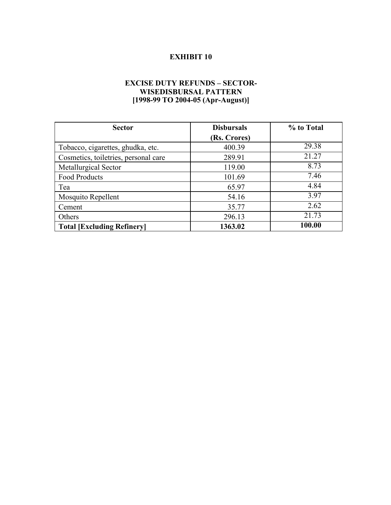## **EXCISE DUTY REFUNDS – SECTOR- WISEDISBURSAL PATTERN [1998-99 TO 2004-05 (Apr-August)]**

| <b>Sector</b>                        | <b>Disbursals</b> | % to Total |  |  |
|--------------------------------------|-------------------|------------|--|--|
|                                      | (Rs. Crores)      |            |  |  |
| Tobacco, cigarettes, ghudka, etc.    | 400.39            | 29.38      |  |  |
| Cosmetics, toiletries, personal care | 289.91            | 21.27      |  |  |
| Metallurgical Sector                 | 119.00            | 8.73       |  |  |
| <b>Food Products</b>                 | 101.69            | 7.46       |  |  |
| Tea                                  | 65.97             | 4.84       |  |  |
| Mosquito Repellent                   | 54.16             | 3.97       |  |  |
| Cement                               | 35.77             | 2.62       |  |  |
| Others                               | 296.13            | 21.73      |  |  |
| <b>Total [Excluding Refinery]</b>    | 1363.02           | 100.00     |  |  |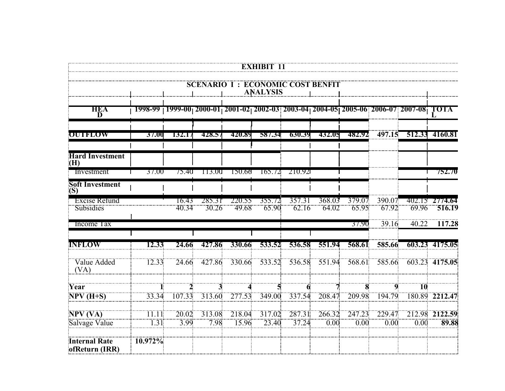|                                          |                   |                |                 |                                                                                                            | <b>EXHIBIT 11</b> |                 |                 |                   |                   |                       |                          |
|------------------------------------------|-------------------|----------------|-----------------|------------------------------------------------------------------------------------------------------------|-------------------|-----------------|-----------------|-------------------|-------------------|-----------------------|--------------------------|
|                                          |                   |                |                 | <b>SCENARIO I: ECONOMIC COST BENFIT</b>                                                                    | <b>ANALYSIS</b>   |                 |                 |                   |                   |                       |                          |
| HEA<br>D                                 |                   |                |                 | <u> 1998-99   1999-00  2000-01  2001-02  2002-03  2003-04  2004-05  2005-06  2006-07  2007-08   TOTA  </u> |                   |                 |                 |                   |                   |                       |                          |
| <b>OUTFLOW</b>                           | <b>37.00</b>      | 132.17         | 428.57          | 420.89                                                                                                     | 587.34            | 630.39          | 432.05          | 482.92            |                   | 497.15 512.33 4160.81 |                          |
| <b>Hard Investment</b><br>(H)            |                   |                |                 |                                                                                                            |                   |                 |                 |                   |                   |                       |                          |
| Investment                               | 37.00             | 75.40          | 113.00          | 150.66                                                                                                     | 165.72            | 210.921         |                 |                   |                   |                       | $1 - 752.70$             |
| Soft Investment<br>(S)                   |                   |                |                 |                                                                                                            |                   |                 |                 |                   |                   |                       |                          |
| <b>Excise Refund</b><br><b>Subsidies</b> |                   | 16.43<br>40.34 | 285.31<br>30.26 | 220.55<br>49.68                                                                                            | 355.72<br>65.90   | 357.31<br>62.16 | 368.03<br>64.02 | 379.07<br>65.95   | 390.07<br>67.92   | 69.96                 | 402.15 2774.64<br>516.19 |
| Income Tax                               |                   |                |                 |                                                                                                            |                   |                 |                 | 37.90             | 39.16             | 40.22                 | 117.28                   |
| <b>INFLOW</b>                            | 12.33             | 24.66          | 427.86          | 330.66                                                                                                     | 533.52            | 536.58          | 551.94          | 568.61            | 585.66            |                       | 603.23 4175.05           |
| Value Added<br>(VA)                      | 12.33             | 24.66          | 427.86          | 330.66                                                                                                     | 533.52            | 536.58          | 551.94          | 568.61            | 585.66            | 603.23                | 4175.05                  |
| Year                                     |                   | $\mathbf{2}$   | 3               |                                                                                                            |                   | 6               | 7.              | 8                 | $\overline{9}$    | $\overline{10}$       |                          |
| $NPV$ $(H+S)$                            | 33.34             | 107.33         | 313.60          | 277.53                                                                                                     | 349.00            | 337.54          | 208.47          | 209.98            | 194.79            | 180.89                | 2212.47                  |
| NPV (VA)                                 | 11.11             | 20.02          | 313.08          | 218.04                                                                                                     | 317.02            | 287.31          | 266.32          | 247.23            | 229.47            |                       | 212.98 2122.59           |
| Salvage Value                            | $\overline{1.31}$ | 3.99           | 7.98            | 15.96                                                                                                      | 23.40             | 37.24           | 0.00            | $\overline{0.00}$ | $\overline{0.00}$ | $\overline{0.00}$     | 89.88                    |
| <b>Internal Rate</b><br>ofReturn (IRR)   | 10.972%           |                |                 |                                                                                                            |                   |                 |                 |                   |                   |                       |                          |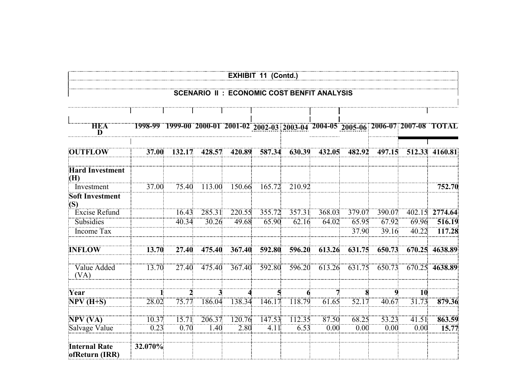|                                                   |         |                       |        |        | <b>EXHIBIT 11 (Contd.)</b>                                                            |        |        |        |        |                 |                |
|---------------------------------------------------|---------|-----------------------|--------|--------|---------------------------------------------------------------------------------------|--------|--------|--------|--------|-----------------|----------------|
| <b>SCENARIO II: ECONOMIC COST BENFIT ANALYSIS</b> |         |                       |        |        |                                                                                       |        |        |        |        |                 |                |
| <b>HEA</b><br>D                                   |         |                       |        |        | 1998-99 1999-00 2000-01 2001-02 2002-03 2003-04 2004-05 2005-06 2006-07 2007-08 TOTAL |        |        |        |        |                 |                |
| <b>OUTFLOW</b>                                    | 37.00   | 132.17                | 428.57 | 420.89 | 587.34                                                                                | 630.39 | 432.05 | 482.92 | 497.15 |                 | 512.33 4160.81 |
| <b>Hard Investment</b><br>(H)                     |         |                       |        |        |                                                                                       |        |        |        |        |                 |                |
| Investment                                        | 37.00   | 75.40                 | 113.00 | 150.66 | 165.72                                                                                | 210.92 |        |        |        |                 | 752.70         |
| <b>Soft Investment</b><br>(S)                     |         |                       |        |        |                                                                                       |        |        |        |        |                 |                |
| <b>Excise Refund</b>                              |         | 16.43                 | 285.31 | 220.55 | 355.72                                                                                | 357.31 | 368.03 | 379.07 | 390.07 |                 | 402.15 2774.64 |
| Subsidies                                         |         | 40.34                 | 30.26  | 49.68  | 65.90                                                                                 | 62.16  | 64.02  | 65.95  | 67.92  | 69.96           | 516.19         |
| <b>Income Tax</b>                                 |         |                       |        |        |                                                                                       |        |        | 37.90  | 39.16  | 40.22           | 117.28         |
| <b>INFLOW</b>                                     | 13.70   | 27.40                 | 475.40 | 367.40 | 592.80                                                                                | 596.20 | 613.26 | 631.75 | 650.73 |                 | 670.25 4638.89 |
| Value Added<br>(VA)                               | 13.70   | 27.40                 | 475.40 | 367.40 | 592.80                                                                                | 596.20 | 613.26 | 631.75 | 650.73 |                 | 670.25 4638.89 |
| Year                                              |         | $\boldsymbol{\gamma}$ | 3      |        | 5                                                                                     |        |        |        | 9      | $\overline{10}$ |                |
| $NPV$ (H+S)                                       | 28.02   | 75.77                 | 186.04 | 138.34 | 146.17                                                                                | 118.79 | 61.65  | 52.17  | 40.67  | 31.73           | 879.36         |
| NPV(VA)                                           | 10.37   | 15.71                 | 206.37 | 120.76 | 147.53                                                                                | 112.35 | 87.50  | 68.25  | 53.23  | 41.51           | 863.59         |
| Salvage Value                                     | 0.23    | 0.70                  | 1.40   | 2.80   | 4.11                                                                                  | 6.53   | 0.00   | 0.00   | 0.00   | 0.00            | 15.77          |
| <b>Internal Rate</b><br>ofReturn (IRR)            | 32.070% |                       |        |        |                                                                                       |        |        |        |        |                 |                |